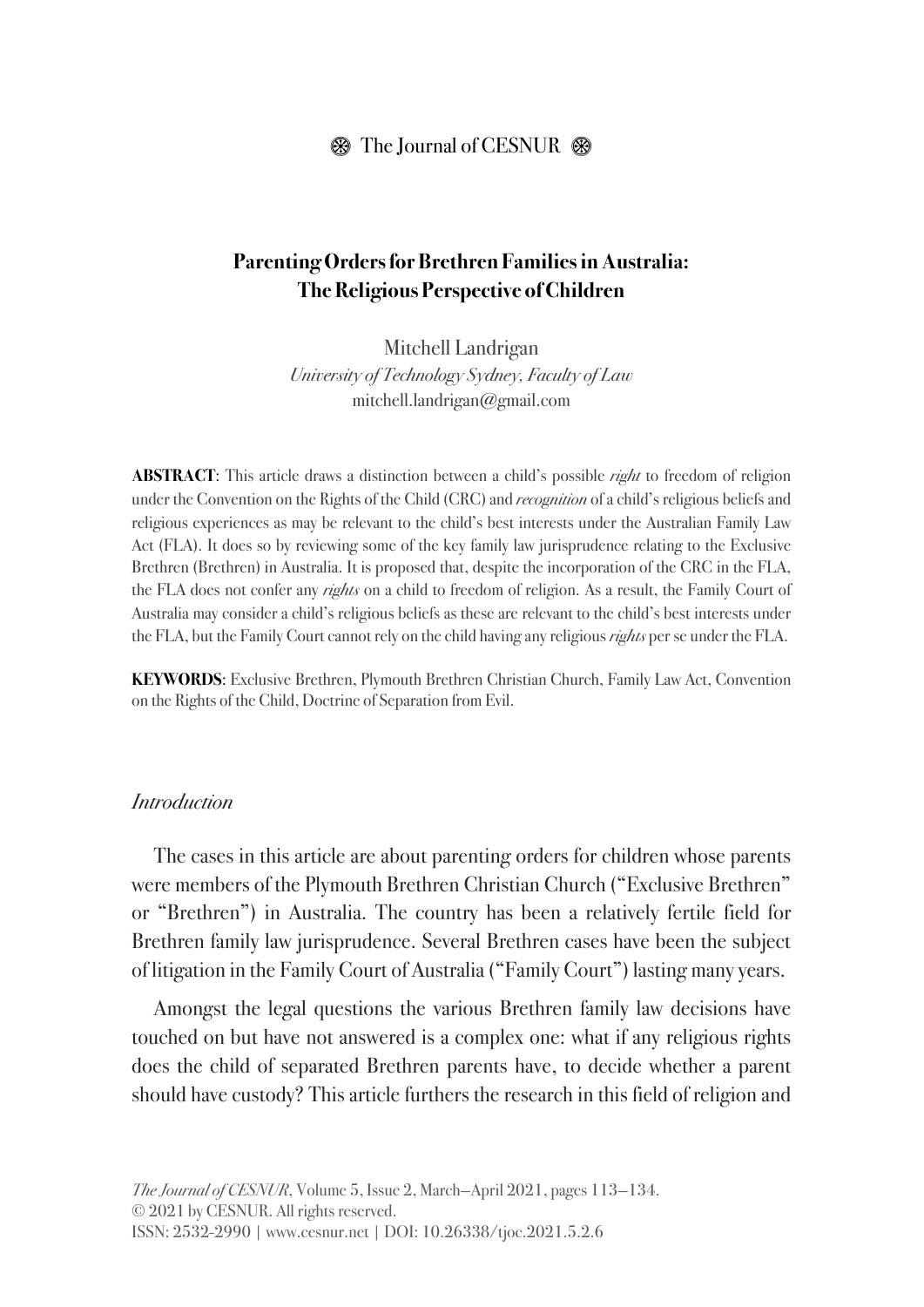#### $\circledR$  The Journal of CESNUR  $\circledR$

# **Parenting Orders for Brethren Families in Australia: The Religious Perspective of Children**

Mitchell Landrigan *University of Technology Sydney, Faculty of Law* mitchell.landrigan@gmail.com

**ABSTRACT**: This article draws a distinction between a child's possible *right* to freedom of religion under the Convention on the Rights of the Child (CRC) and *recognition* of a child's religious beliefs and religious experiences as may be relevant to the child's best interests under the Australian Family Law Act (FLA). It does so by reviewing some of the key family law jurisprudence relating to the Exclusive Brethren (Brethren) in Australia. It is proposed that, despite the incorporation of the CRC in the FLA, the FLA does not confer any *rights* on a child to freedom of religion. As a result, the Family Court of Australia may consider a child's religious beliefs as these are relevant to the child's best interests under the FLA, but the Family Court cannot rely on the child having any religious *rights* per se under the FLA.

**KEYWORDS**: Exclusive Brethren, Plymouth Brethren Christian Church, Family Law Act, Convention on the Rights of the Child, Doctrine of Separation from Evil.

#### *Introduction*

The cases in this article are about parenting orders for children whose parents were members of the Plymouth Brethren Christian Church ("Exclusive Brethren" or "Brethren") in Australia. The country has been a relatively fertile field for Brethren family law jurisprudence. Several Brethren cases have been the subject of litigation in the Family Court of Australia ("Family Court") lasting many years.

Amongst the legal questions the various Brethren family law decisions have touched on but have not answered is a complex one: what if any religious rights does the child of separated Brethren parents have, to decide whether a parent should have custody? This article furthers the research in this field of religion and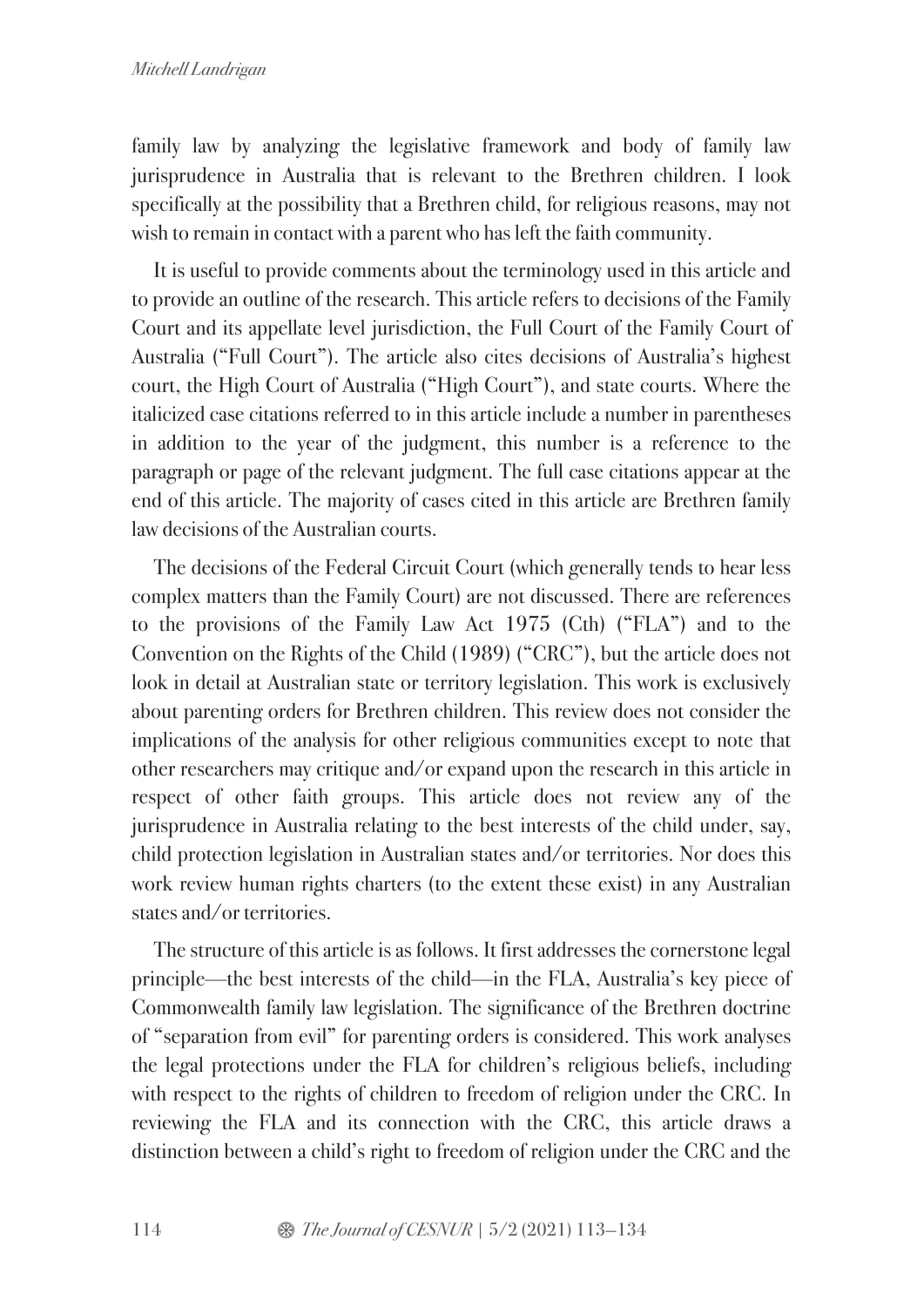family law by analyzing the legislative framework and body of family law jurisprudence in Australia that is relevant to the Brethren children. I look specifically at the possibility that a Brethren child, for religious reasons, may not wish to remain in contact with a parent who has left the faith community.

It is useful to provide comments about the terminology used in this article and to provide an outline of the research. This article refers to decisions of the Family Court and its appellate level jurisdiction, the Full Court of the Family Court of Australia ("Full Court"). The article also cites decisions of Australia's highest court, the High Court of Australia ("High Court"), and state courts. Where the italicized case citations referred to in this article include a number in parentheses in addition to the year of the judgment, this number is a reference to the paragraph or page of the relevant judgment. The full case citations appear at the end of this article. The majority of cases cited in this article are Brethren family law decisions of the Australian courts.

The decisions of the Federal Circuit Court (which generally tends to hear less complex matters than the Family Court) are not discussed. There are references to the provisions of the Family Law Act 1975 (Cth) ("FLA") and to the Convention on the Rights of the Child (1989) ("CRC"), but the article does not look in detail at Australian state or territory legislation. This work is exclusively about parenting orders for Brethren children. This review does not consider the implications of the analysis for other religious communities except to note that other researchers may critique and/or expand upon the research in this article in respect of other faith groups. This article does not review any of the jurisprudence in Australia relating to the best interests of the child under, say, child protection legislation in Australian states and/or territories. Nor does this work review human rights charters (to the extent these exist) in any Australian states and/or territories.

The structure of this article is as follows. It first addresses the cornerstone legal principle—the best interests of the child—in the FLA, Australia's key piece of Commonwealth family law legislation. The significance of the Brethren doctrine of "separation from evil" for parenting orders is considered. This work analyses the legal protections under the FLA for children's religious beliefs, including with respect to the rights of children to freedom of religion under the CRC. In reviewing the FLA and its connection with the CRC, this article draws a distinction between a child's right to freedom of religion under the CRC and the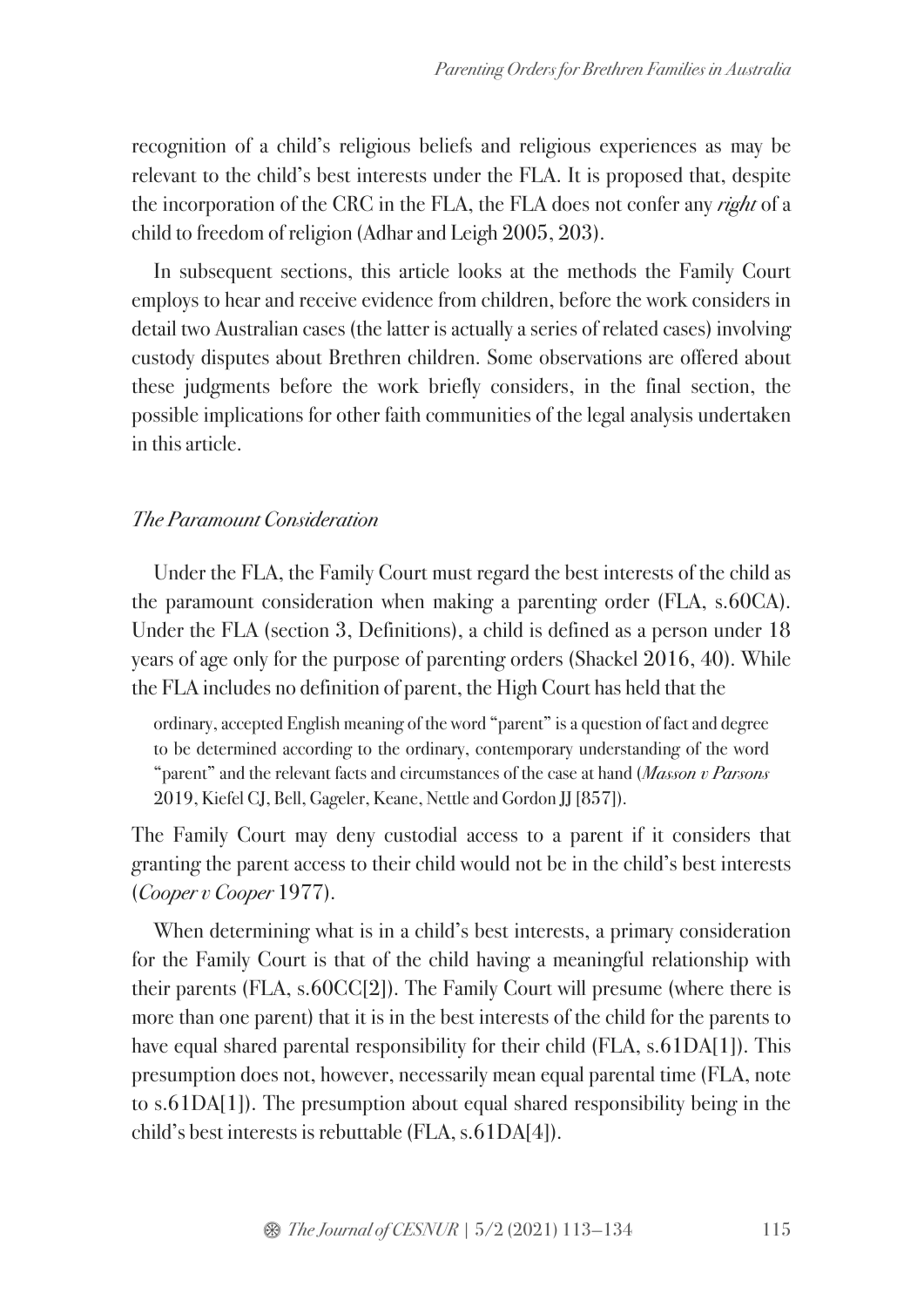recognition of a child's religious beliefs and religious experiences as may be relevant to the child's best interests under the FLA. It is proposed that, despite the incorporation of the CRC in the FLA, the FLA does not confer any *right* of a child to freedom of religion (Adhar and Leigh 2005, 203).

In subsequent sections, this article looks at the methods the Family Court employs to hear and receive evidence from children, before the work considers in detail two Australian cases (the latter is actually a series of related cases) involving custody disputes about Brethren children. Some observations are offered about these judgments before the work briefly considers, in the final section, the possible implications for other faith communities of the legal analysis undertaken in this article.

#### *The Paramount Consideration*

Under the FLA, the Family Court must regard the best interests of the child as the paramount consideration when making a parenting order (FLA, s.60CA). Under the FLA (section 3, Definitions), a child is defined as a person under 18 years of age only for the purpose of parenting orders (Shackel 2016, 40). While the FLA includes no definition of parent, the High Court has held that the

ordinary, accepted English meaning of the word "parent" is a question of fact and degree to be determined according to the ordinary, contemporary understanding of the word "parent" and the relevant facts and circumstances of the case at hand (*Masson v Parsons* 2019, Kiefel CJ, Bell, Gageler, Keane, Nettle and Gordon JJ [857]).

The Family Court may deny custodial access to a parent if it considers that granting the parent access to their child would not be in the child's best interests (*Cooper v Cooper* 1977).

When determining what is in a child's best interests, a primary consideration for the Family Court is that of the child having a meaningful relationship with their parents (FLA, s.60CC[2]). The Family Court will presume (where there is more than one parent) that it is in the best interests of the child for the parents to have equal shared parental responsibility for their child (FLA, s.61DA[1]). This presumption does not, however, necessarily mean equal parental time (FLA, note to s.61DA[1]). The presumption about equal shared responsibility being in the child's best interests is rebuttable (FLA, s.61DA[4]).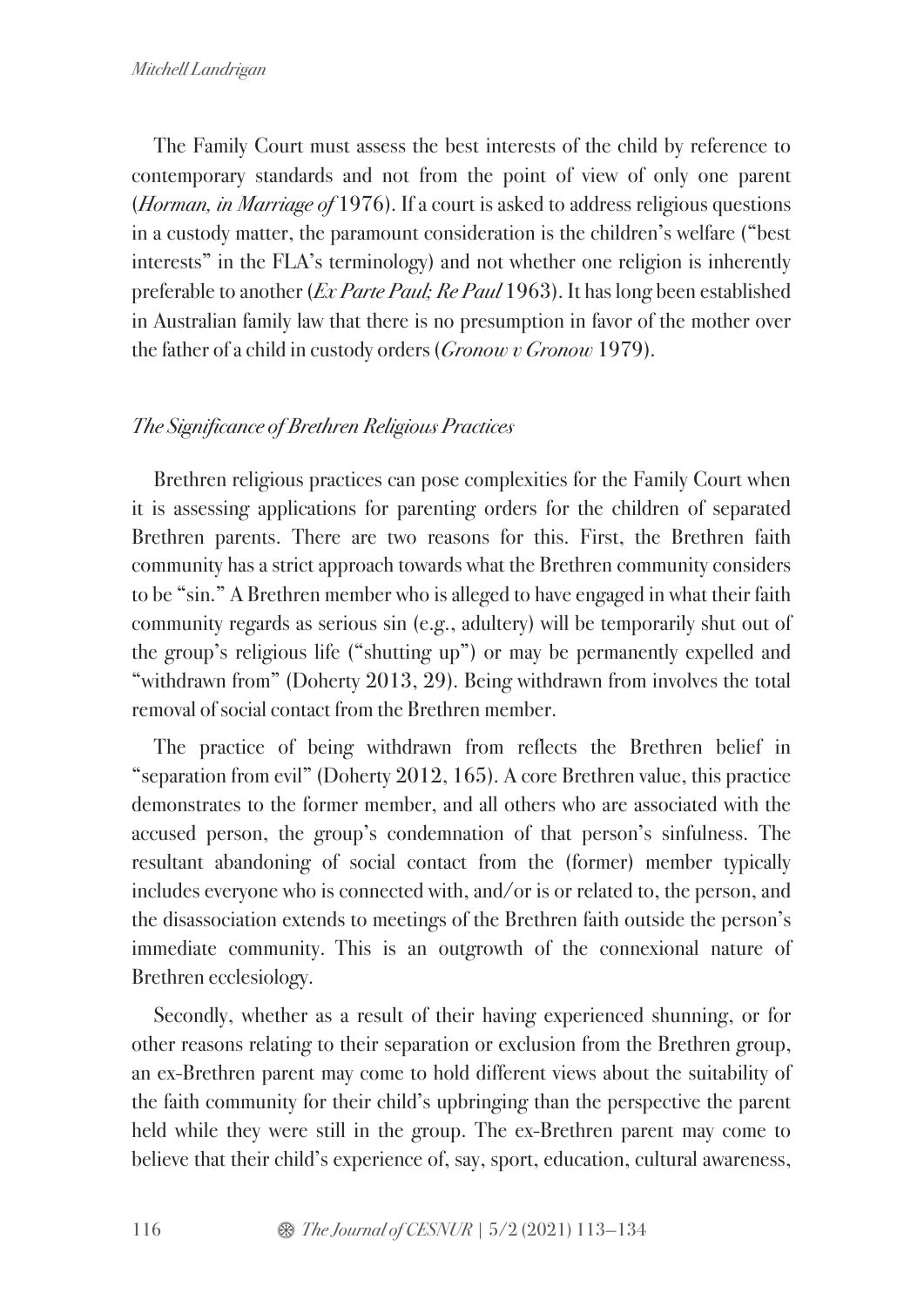The Family Court must assess the best interests of the child by reference to contemporary standards and not from the point of view of only one parent (*Horman, in Marriage of* 1976). If a court is asked to address religious questions in a custody matter, the paramount consideration is the children's welfare ("best interests" in the FLA's terminology) and not whether one religion is inherently preferable to another (*Ex Parte Paul; Re Paul* 1963). It has long been established in Australian family law that there is no presumption in favor of the mother over the father of a child in custody orders (*Gronow v Gronow* 1979).

# *The Significance of Brethren Religious Practices*

Brethren religious practices can pose complexities for the Family Court when it is assessing applications for parenting orders for the children of separated Brethren parents. There are two reasons for this. First, the Brethren faith community has a strict approach towards what the Brethren community considers to be "sin." A Brethren member who is alleged to have engaged in what their faith community regards as serious sin (e.g., adultery) will be temporarily shut out of the group's religious life ("shutting up") or may be permanently expelled and "withdrawn from" (Doherty 2013, 29). Being withdrawn from involves the total removal of social contact from the Brethren member.

The practice of being withdrawn from reflects the Brethren belief in "separation from evil" (Doherty 2012, 165). A core Brethren value, this practice demonstrates to the former member, and all others who are associated with the accused person, the group's condemnation of that person's sinfulness. The resultant abandoning of social contact from the (former) member typically includes everyone who is connected with, and/or is or related to, the person, and the disassociation extends to meetings of the Brethren faith outside the person's immediate community. This is an outgrowth of the connexional nature of Brethren ecclesiology.

Secondly, whether as a result of their having experienced shunning, or for other reasons relating to their separation or exclusion from the Brethren group, an ex-Brethren parent may come to hold different views about the suitability of the faith community for their child's upbringing than the perspective the parent held while they were still in the group. The ex-Brethren parent may come to believe that their child's experience of, say, sport, education, cultural awareness,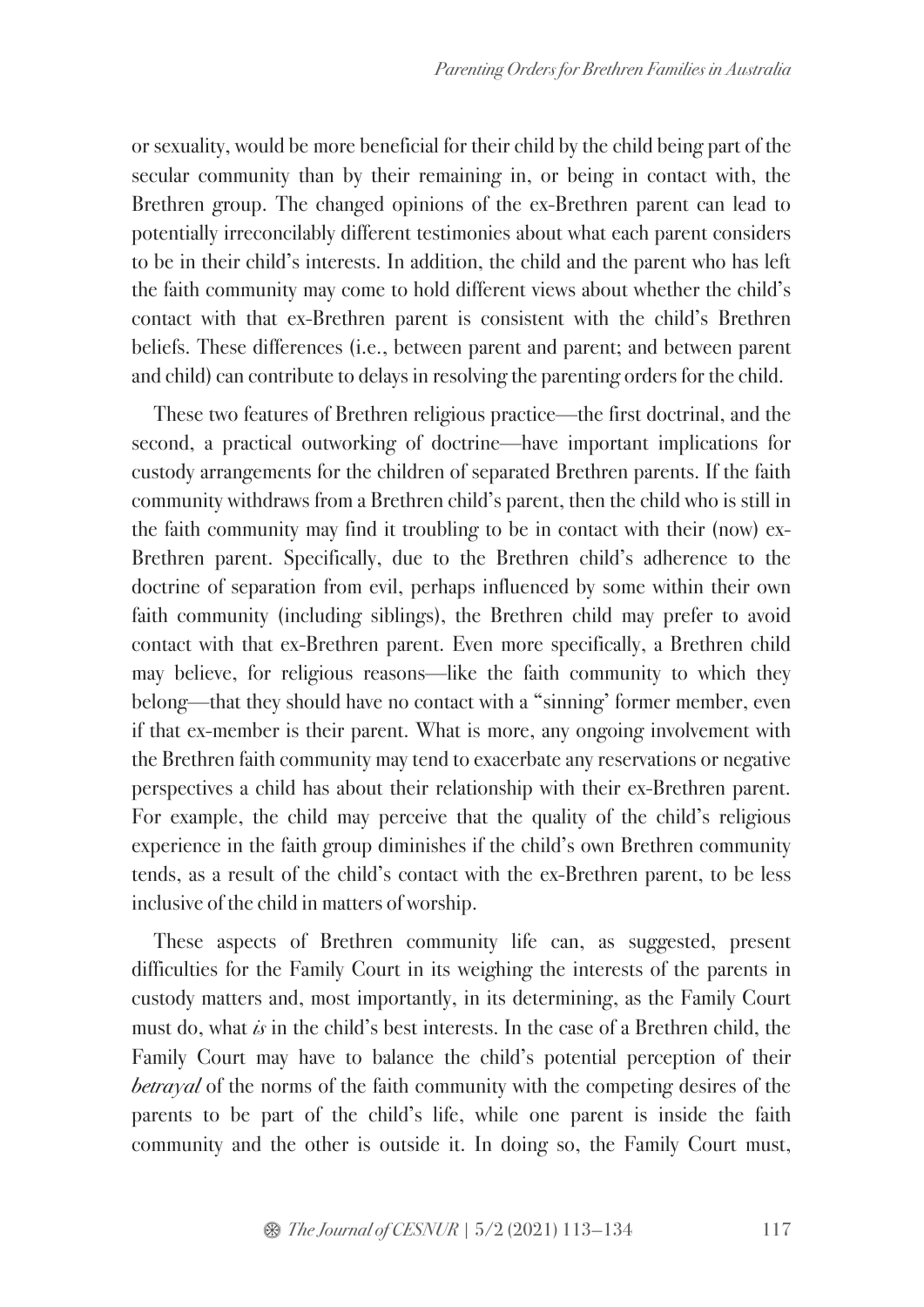or sexuality, would be more beneficial for their child by the child being part of the secular community than by their remaining in, or being in contact with, the Brethren group. The changed opinions of the ex-Brethren parent can lead to potentially irreconcilably different testimonies about what each parent considers to be in their child's interests. In addition, the child and the parent who has left the faith community may come to hold different views about whether the child's contact with that ex-Brethren parent is consistent with the child's Brethren beliefs. These differences (i.e., between parent and parent; and between parent and child) can contribute to delays in resolving the parenting orders for the child.

These two features of Brethren religious practice—the first doctrinal, and the second, a practical outworking of doctrine—have important implications for custody arrangements for the children of separated Brethren parents. If the faith community withdraws from a Brethren child's parent, then the child who is still in the faith community may find it troubling to be in contact with their (now) ex-Brethren parent. Specifically, due to the Brethren child's adherence to the doctrine of separation from evil, perhaps influenced by some within their own faith community (including siblings), the Brethren child may prefer to avoid contact with that ex-Brethren parent. Even more specifically, a Brethren child may believe, for religious reasons—like the faith community to which they belong—that they should have no contact with a "sinning' former member, even if that ex-member is their parent. What is more, any ongoing involvement with the Brethren faith community may tend to exacerbate any reservations or negative perspectives a child has about their relationship with their ex-Brethren parent. For example, the child may perceive that the quality of the child's religious experience in the faith group diminishes if the child's own Brethren community tends, as a result of the child's contact with the ex-Brethren parent, to be less inclusive of the child in matters of worship.

These aspects of Brethren community life can, as suggested, present difficulties for the Family Court in its weighing the interests of the parents in custody matters and, most importantly, in its determining, as the Family Court must do, what *is* in the child's best interests. In the case of a Brethren child, the Family Court may have to balance the child's potential perception of their *betrayal* of the norms of the faith community with the competing desires of the parents to be part of the child's life, while one parent is inside the faith community and the other is outside it. In doing so, the Family Court must,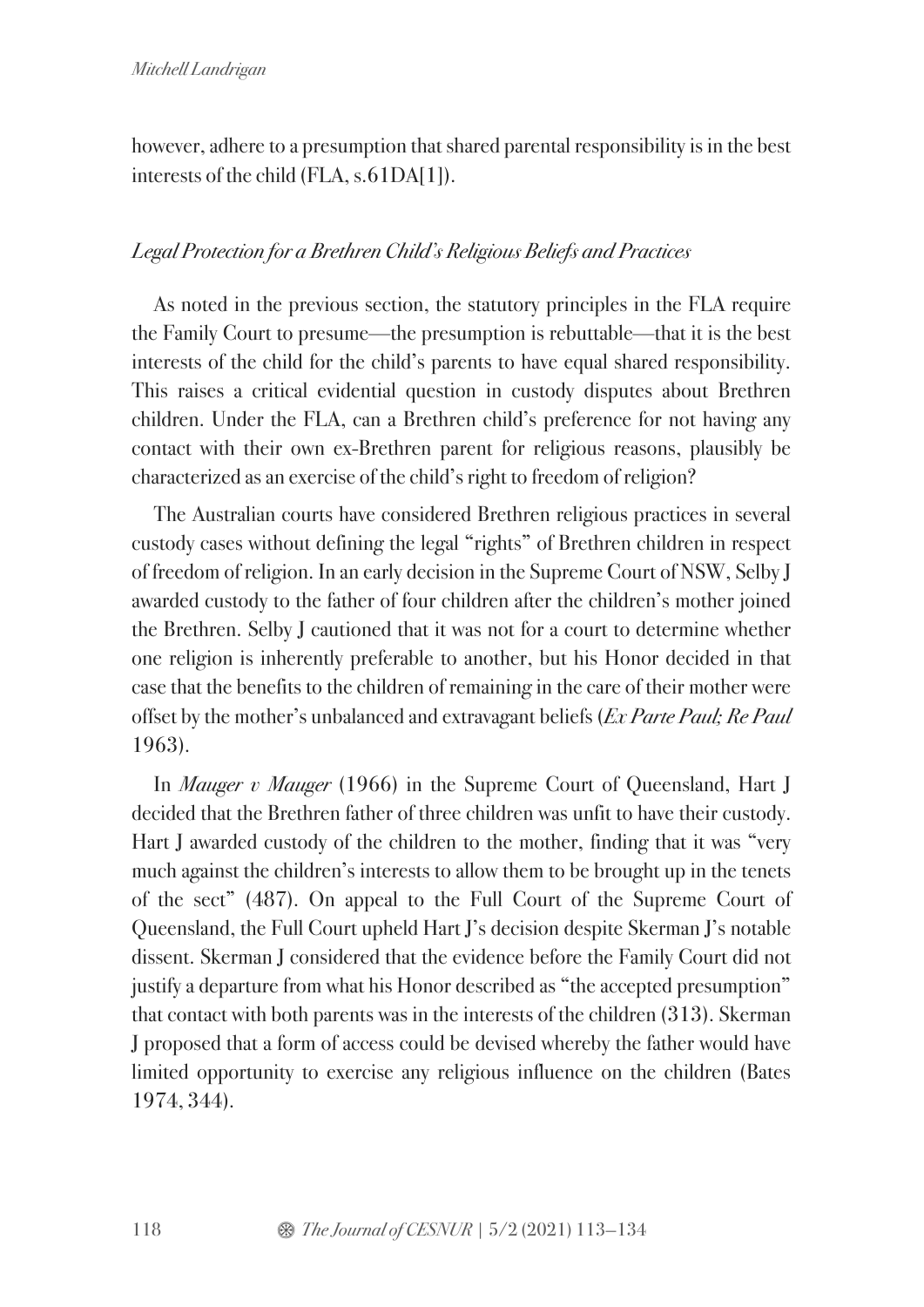however, adhere to a presumption that shared parental responsibility is in the best interests of the child (FLA, s.61DA[1]).

## *Legal Protection for a Brethren Child's Religious Beliefs and Practices*

As noted in the previous section, the statutory principles in the FLA require the Family Court to presume—the presumption is rebuttable—that it is the best interests of the child for the child's parents to have equal shared responsibility. This raises a critical evidential question in custody disputes about Brethren children. Under the FLA, can a Brethren child's preference for not having any contact with their own ex-Brethren parent for religious reasons, plausibly be characterized as an exercise of the child's right to freedom of religion?

The Australian courts have considered Brethren religious practices in several custody cases without defining the legal "rights" of Brethren children in respect of freedom of religion. In an early decision in the Supreme Court of NSW, Selby J awarded custody to the father of four children after the children's mother joined the Brethren. Selby J cautioned that it was not for a court to determine whether one religion is inherently preferable to another, but his Honor decided in that case that the benefits to the children of remaining in the care of their mother were offset by the mother's unbalanced and extravagant beliefs (*Ex Parte Paul; Re Paul* 1963).

In *Mauger v Mauger* (1966) in the Supreme Court of Queensland, Hart J decided that the Brethren father of three children was unfit to have their custody. Hart J awarded custody of the children to the mother, finding that it was "very much against the children's interests to allow them to be brought up in the tenets of the sect" (487). On appeal to the Full Court of the Supreme Court of Queensland, the Full Court upheld Hart J's decision despite Skerman J's notable dissent. Skerman J considered that the evidence before the Family Court did not justify a departure from what his Honor described as "the accepted presumption" that contact with both parents was in the interests of the children (313). Skerman J proposed that a form of access could be devised whereby the father would have limited opportunity to exercise any religious influence on the children (Bates 1974, 344).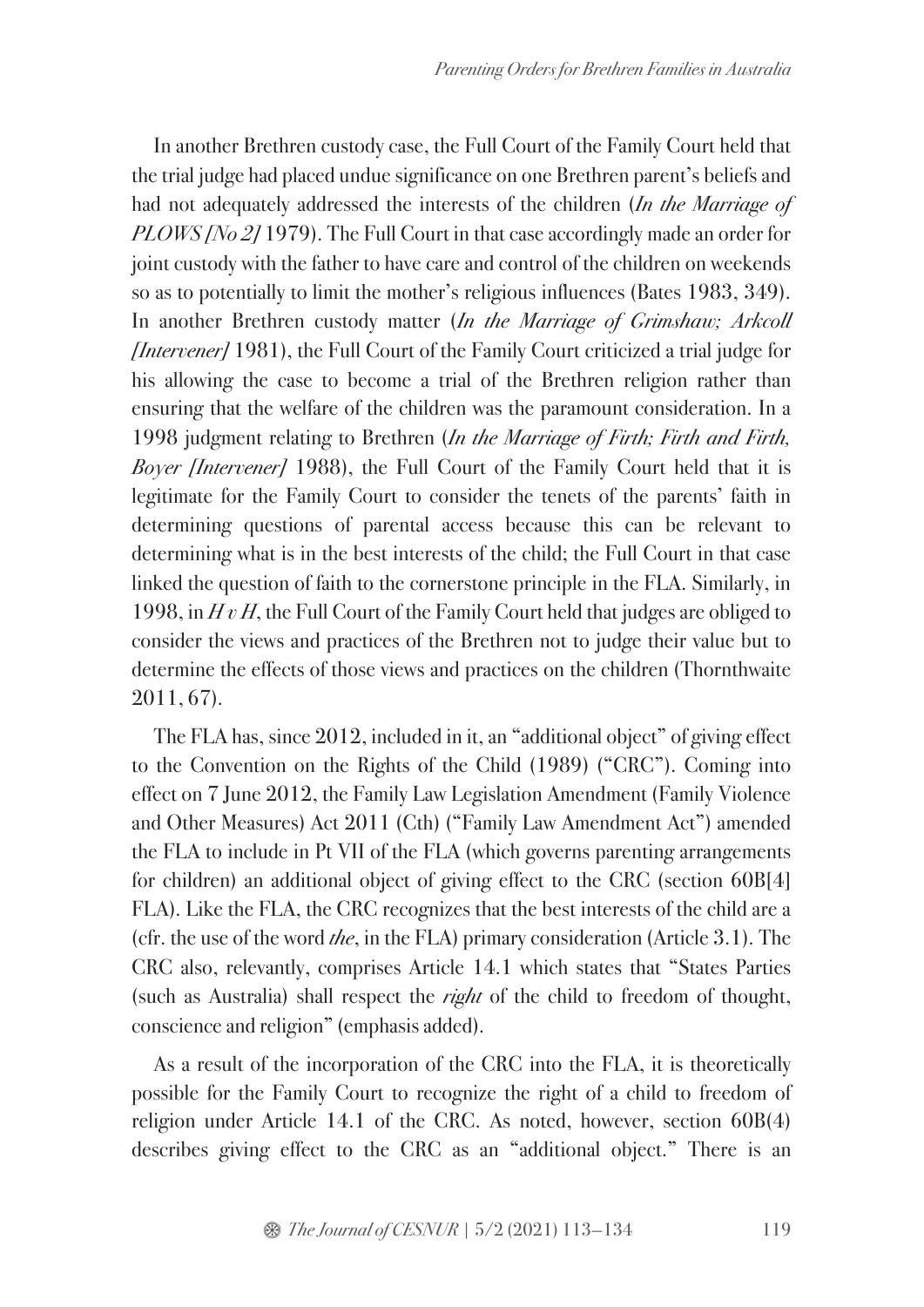In another Brethren custody case, the Full Court of the Family Court held that the trial judge had placed undue significance on one Brethren parent's beliefs and had not adequately addressed the interests of the children (*In the Marriage of PLOWS [No 2]* 1979). The Full Court in that case accordingly made an order for joint custody with the father to have care and control of the children on weekends so as to potentially to limit the mother's religious influences (Bates 1983, 349). In another Brethren custody matter (*In the Marriage of Grimshaw; Arkcoll [Intervener]* 1981), the Full Court of the Family Court criticized a trial judge for his allowing the case to become a trial of the Brethren religion rather than ensuring that the welfare of the children was the paramount consideration. In a 1998 judgment relating to Brethren (*In the Marriage of Firth; Firth and Firth, Boyer [Intervener]* 1988), the Full Court of the Family Court held that it is legitimate for the Family Court to consider the tenets of the parents' faith in determining questions of parental access because this can be relevant to determining what is in the best interests of the child; the Full Court in that case linked the question of faith to the cornerstone principle in the FLA. Similarly, in 1998, in *H v H*, the Full Court of the Family Court held that judges are obliged to consider the views and practices of the Brethren not to judge their value but to determine the effects of those views and practices on the children (Thornthwaite 2011, 67).

The FLA has, since 2012, included in it, an "additional object" of giving effect to the Convention on the Rights of the Child (1989) ("CRC"). Coming into effect on 7 June 2012, the Family Law Legislation Amendment (Family Violence and Other Measures) Act 2011 (Cth) ("Family Law Amendment Act") amended the FLA to include in Pt VII of the FLA (which governs parenting arrangements for children) an additional object of giving effect to the CRC (section 60B[4] FLA). Like the FLA, the CRC recognizes that the best interests of the child are a (cfr. the use of the word *the*, in the FLA) primary consideration (Article 3.1). The CRC also, relevantly, comprises Article 14.1 which states that "States Parties (such as Australia) shall respect the *right* of the child to freedom of thought, conscience and religion" (emphasis added).

As a result of the incorporation of the CRC into the FLA, it is theoretically possible for the Family Court to recognize the right of a child to freedom of religion under Article 14.1 of the CRC. As noted, however, section 60B(4) describes giving effect to the CRC as an "additional object." There is an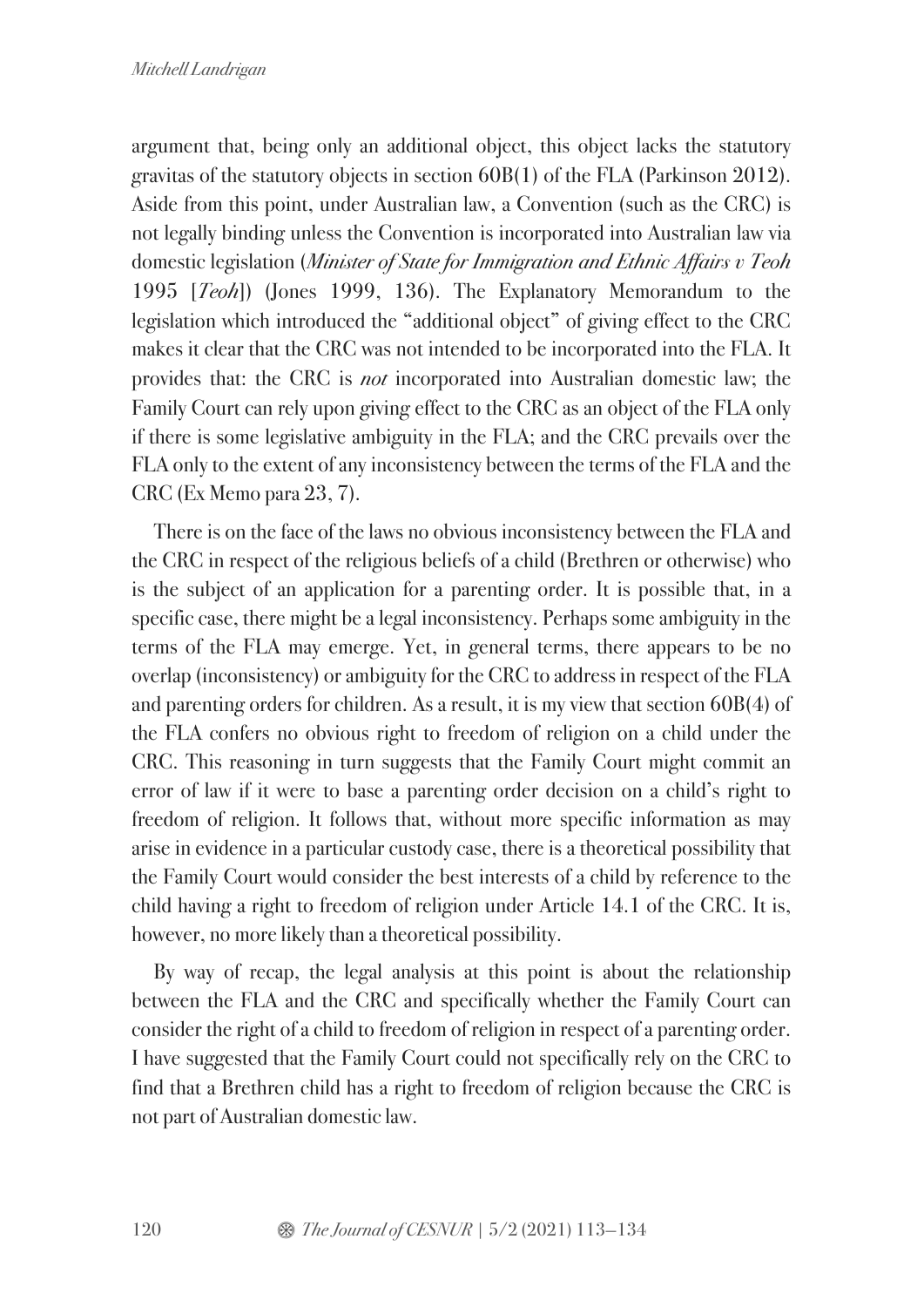argument that, being only an additional object, this object lacks the statutory gravitas of the statutory objects in section 60B(1) of the FLA (Parkinson 2012). Aside from this point, under Australian law, a Convention (such as the CRC) is not legally binding unless the Convention is incorporated into Australian law via domestic legislation (*Minister of State for Immigration and Ethnic Affairs v Teoh* 1995 [*Teoh*]) (Jones 1999, 136). The Explanatory Memorandum to the legislation which introduced the "additional object" of giving effect to the CRC makes it clear that the CRC was not intended to be incorporated into the FLA. It provides that: the CRC is *not* incorporated into Australian domestic law; the Family Court can rely upon giving effect to the CRC as an object of the FLA only if there is some legislative ambiguity in the FLA; and the CRC prevails over the FLA only to the extent of any inconsistency between the terms of the FLA and the CRC (Ex Memo para 23, 7).

There is on the face of the laws no obvious inconsistency between the FLA and the CRC in respect of the religious beliefs of a child (Brethren or otherwise) who is the subject of an application for a parenting order. It is possible that, in a specific case, there might be a legal inconsistency. Perhaps some ambiguity in the terms of the FLA may emerge. Yet, in general terms, there appears to be no overlap (inconsistency) or ambiguity for the CRC to address in respect of the FLA and parenting orders for children. As a result, it is my view that section 60B(4) of the FLA confers no obvious right to freedom of religion on a child under the CRC. This reasoning in turn suggests that the Family Court might commit an error of law if it were to base a parenting order decision on a child's right to freedom of religion. It follows that, without more specific information as may arise in evidence in a particular custody case, there is a theoretical possibility that the Family Court would consider the best interests of a child by reference to the child having a right to freedom of religion under Article 14.1 of the CRC. It is, however, no more likely than a theoretical possibility.

By way of recap, the legal analysis at this point is about the relationship between the FLA and the CRC and specifically whether the Family Court can consider the right of a child to freedom of religion in respect of a parenting order. I have suggested that the Family Court could not specifically rely on the CRC to find that a Brethren child has a right to freedom of religion because the CRC is not part of Australian domestic law.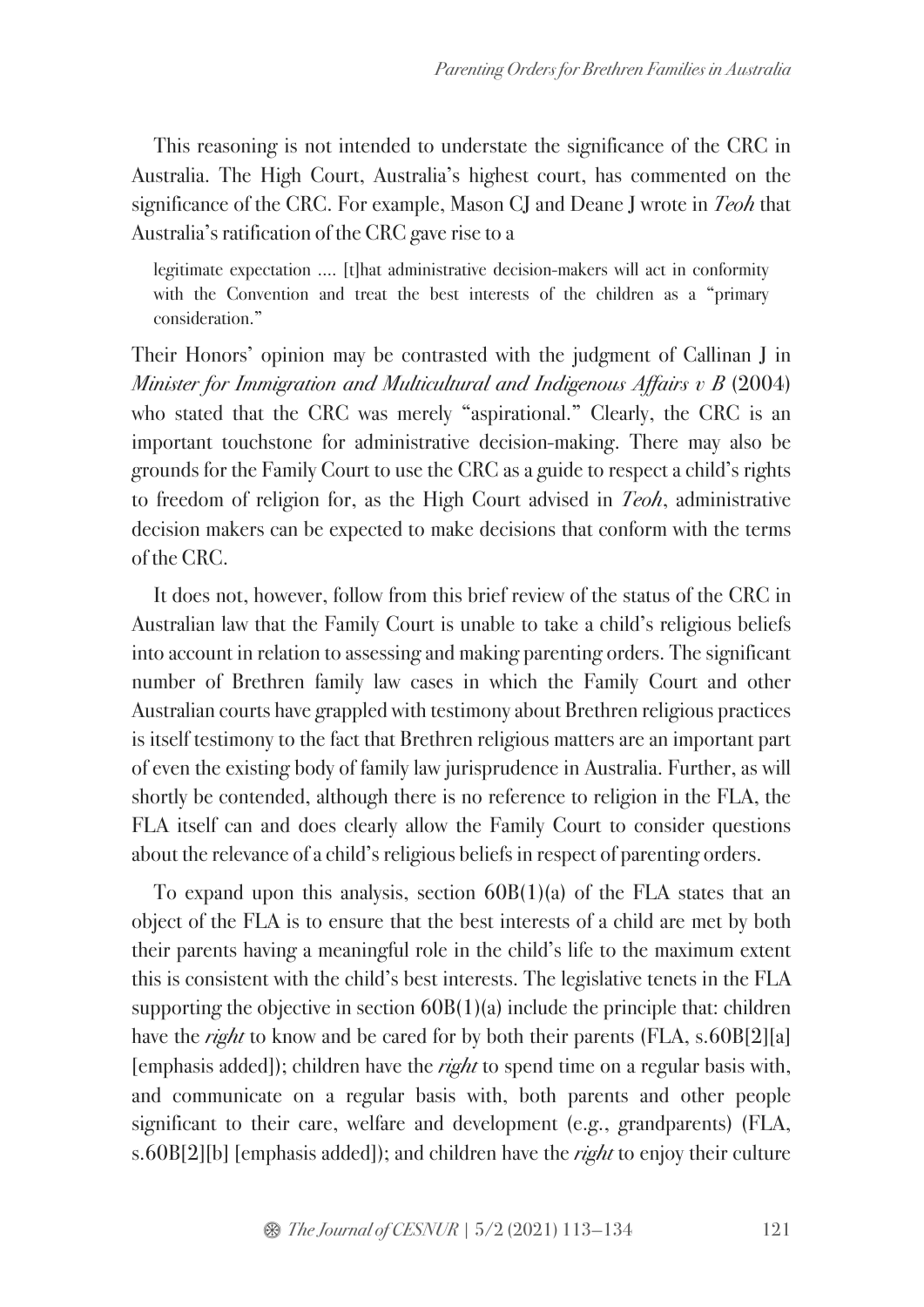This reasoning is not intended to understate the significance of the CRC in Australia. The High Court, Australia's highest court, has commented on the significance of the CRC. For example, Mason CJ and Deane J wrote in *Teoh* that Australia's ratification of the CRC gave rise to a

legitimate expectation …. [t]hat administrative decision-makers will act in conformity with the Convention and treat the best interests of the children as a "primary consideration."

Their Honors' opinion may be contrasted with the judgment of Callinan J in *Minister for Immigration and Multicultural and Indigenous Affairs v B* (2004) who stated that the CRC was merely "aspirational." Clearly, the CRC is an important touchstone for administrative decision-making. There may also be grounds for the Family Court to use the CRC as a guide to respect a child's rights to freedom of religion for, as the High Court advised in *Teoh*, administrative decision makers can be expected to make decisions that conform with the terms of the CRC.

It does not, however, follow from this brief review of the status of the CRC in Australian law that the Family Court is unable to take a child's religious beliefs into account in relation to assessing and making parenting orders. The significant number of Brethren family law cases in which the Family Court and other Australian courts have grappled with testimony about Brethren religious practices is itself testimony to the fact that Brethren religious matters are an important part of even the existing body of family law jurisprudence in Australia. Further, as will shortly be contended, although there is no reference to religion in the FLA, the FLA itself can and does clearly allow the Family Court to consider questions about the relevance of a child's religious beliefs in respect of parenting orders.

To expand upon this analysis, section  $60B(1)(a)$  of the FLA states that an object of the FLA is to ensure that the best interests of a child are met by both their parents having a meaningful role in the child's life to the maximum extent this is consistent with the child's best interests. The legislative tenets in the FLA supporting the objective in section 60B(1)(a) include the principle that: children have the *right* to know and be cared for by both their parents (FLA, s.60B[2][a] [emphasis added]); children have the *right* to spend time on a regular basis with, and communicate on a regular basis with, both parents and other people significant to their care, welfare and development (e.g., grandparents) (FLA, s.60B[2][b] [emphasis added]); and children have the *right* to enjoy their culture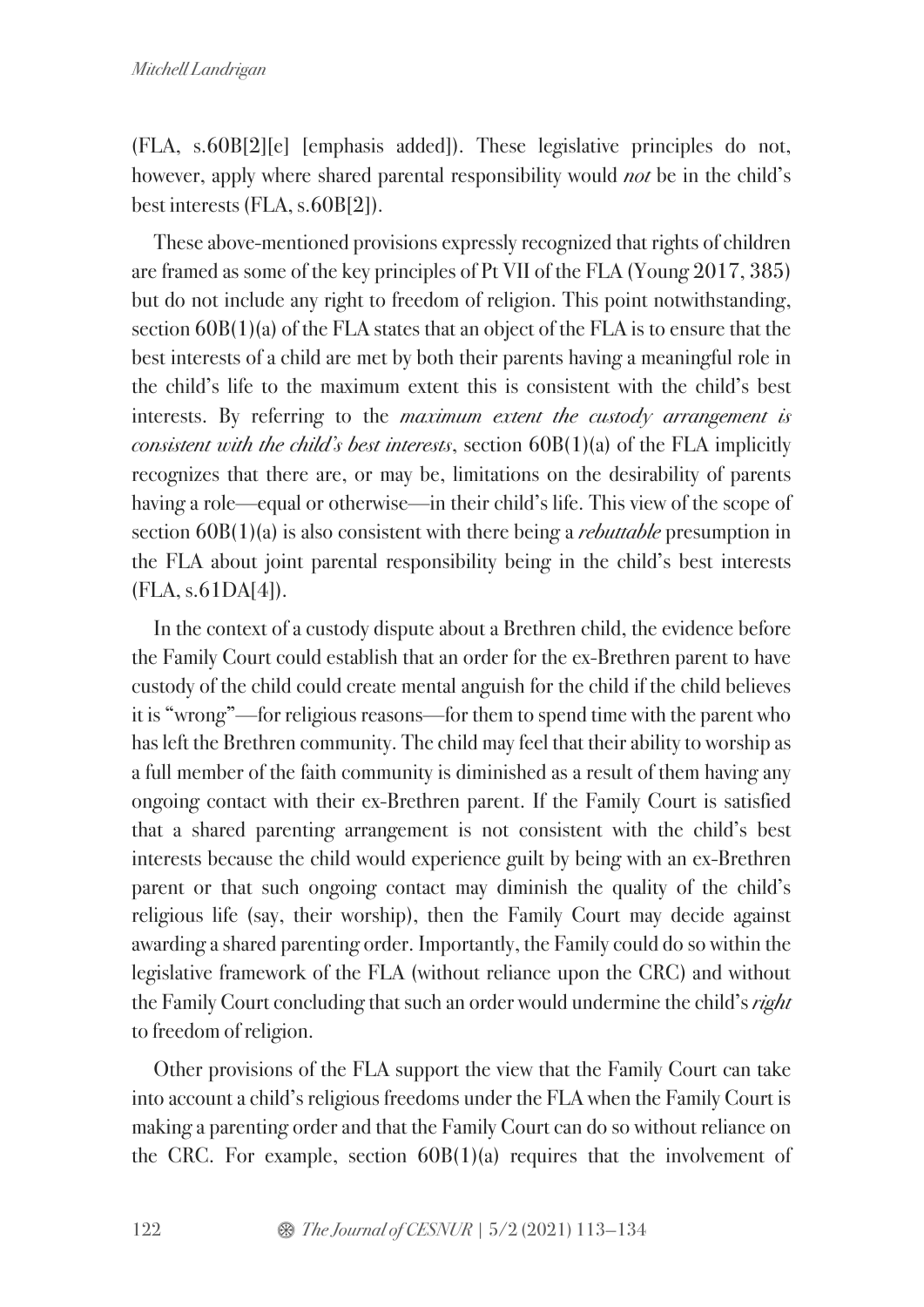(FLA, s.60B[2][e] [emphasis added]). These legislative principles do not, however, apply where shared parental responsibility would *not* be in the child's best interests (FLA, s.60B[2]).

These above-mentioned provisions expressly recognized that rights of children are framed as some of the key principles of Pt VII of the FLA (Young 2017, 385) but do not include any right to freedom of religion. This point notwithstanding, section 60B(1)(a) of the FLA states that an object of the FLA is to ensure that the best interests of a child are met by both their parents having a meaningful role in the child's life to the maximum extent this is consistent with the child's best interests. By referring to the *maximum extent the custody arrangement is consistent with the child's best interests*, section 60B(1)(a) of the FLA implicitly recognizes that there are, or may be, limitations on the desirability of parents having a role—equal or otherwise—in their child's life. This view of the scope of section 60B(1)(a) is also consistent with there being a *rebuttable* presumption in the FLA about joint parental responsibility being in the child's best interests (FLA, s.61DA[4]).

In the context of a custody dispute about a Brethren child, the evidence before the Family Court could establish that an order for the ex-Brethren parent to have custody of the child could create mental anguish for the child if the child believes it is "wrong"—for religious reasons—for them to spend time with the parent who has left the Brethren community. The child may feel that their ability to worship as a full member of the faith community is diminished as a result of them having any ongoing contact with their ex-Brethren parent. If the Family Court is satisfied that a shared parenting arrangement is not consistent with the child's best interests because the child would experience guilt by being with an ex-Brethren parent or that such ongoing contact may diminish the quality of the child's religious life (say, their worship), then the Family Court may decide against awarding a shared parenting order. Importantly, the Family could do so within the legislative framework of the FLA (without reliance upon the CRC) and without the Family Court concluding that such an order would undermine the child's *right* to freedom of religion.

Other provisions of the FLA support the view that the Family Court can take into account a child's religious freedoms under the FLA when the Family Court is making a parenting order and that the Family Court can do so without reliance on the CRC. For example, section 60B(1)(a) requires that the involvement of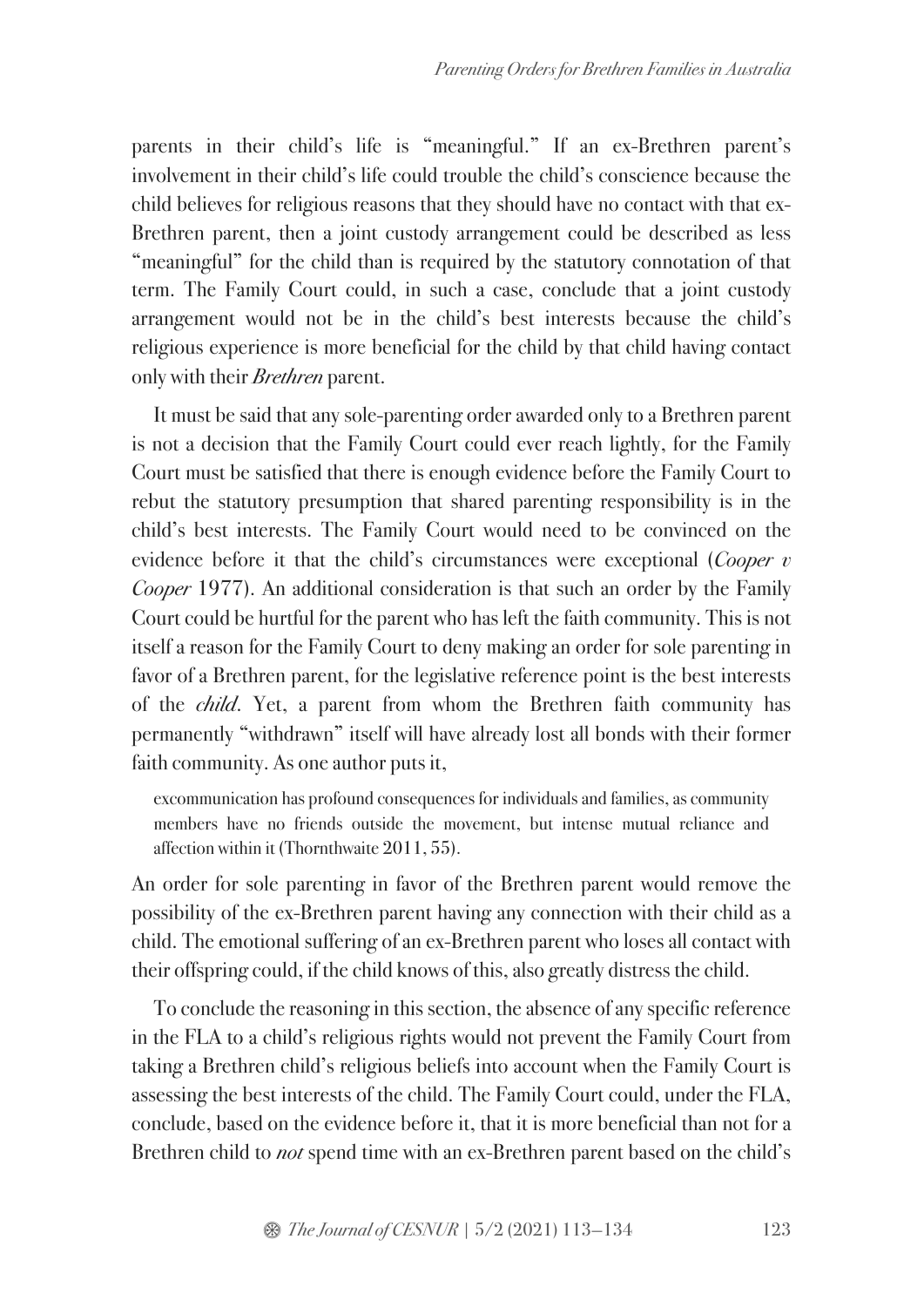parents in their child's life is "meaningful." If an ex-Brethren parent's involvement in their child's life could trouble the child's conscience because the child believes for religious reasons that they should have no contact with that ex-Brethren parent, then a joint custody arrangement could be described as less "meaningful" for the child than is required by the statutory connotation of that term. The Family Court could, in such a case, conclude that a joint custody arrangement would not be in the child's best interests because the child's religious experience is more beneficial for the child by that child having contact only with their *Brethren* parent.

It must be said that any sole-parenting order awarded only to a Brethren parent is not a decision that the Family Court could ever reach lightly, for the Family Court must be satisfied that there is enough evidence before the Family Court to rebut the statutory presumption that shared parenting responsibility is in the child's best interests. The Family Court would need to be convinced on the evidence before it that the child's circumstances were exceptional (*Cooper v Cooper* 1977). An additional consideration is that such an order by the Family Court could be hurtful for the parent who has left the faith community. This is not itself a reason for the Family Court to deny making an order for sole parenting in favor of a Brethren parent, for the legislative reference point is the best interests of the *child*. Yet, a parent from whom the Brethren faith community has permanently "withdrawn" itself will have already lost all bonds with their former faith community. As one author puts it,

excommunication has profound consequences for individuals and families, as community members have no friends outside the movement, but intense mutual reliance and affection within it (Thornthwaite 2011, 55).

An order for sole parenting in favor of the Brethren parent would remove the possibility of the ex-Brethren parent having any connection with their child as a child. The emotional suffering of an ex-Brethren parent who loses all contact with their offspring could, if the child knows of this, also greatly distress the child.

To conclude the reasoning in this section, the absence of any specific reference in the FLA to a child's religious rights would not prevent the Family Court from taking a Brethren child's religious beliefs into account when the Family Court is assessing the best interests of the child. The Family Court could, under the FLA, conclude, based on the evidence before it, that it is more beneficial than not for a Brethren child to *not* spend time with an ex-Brethren parent based on the child's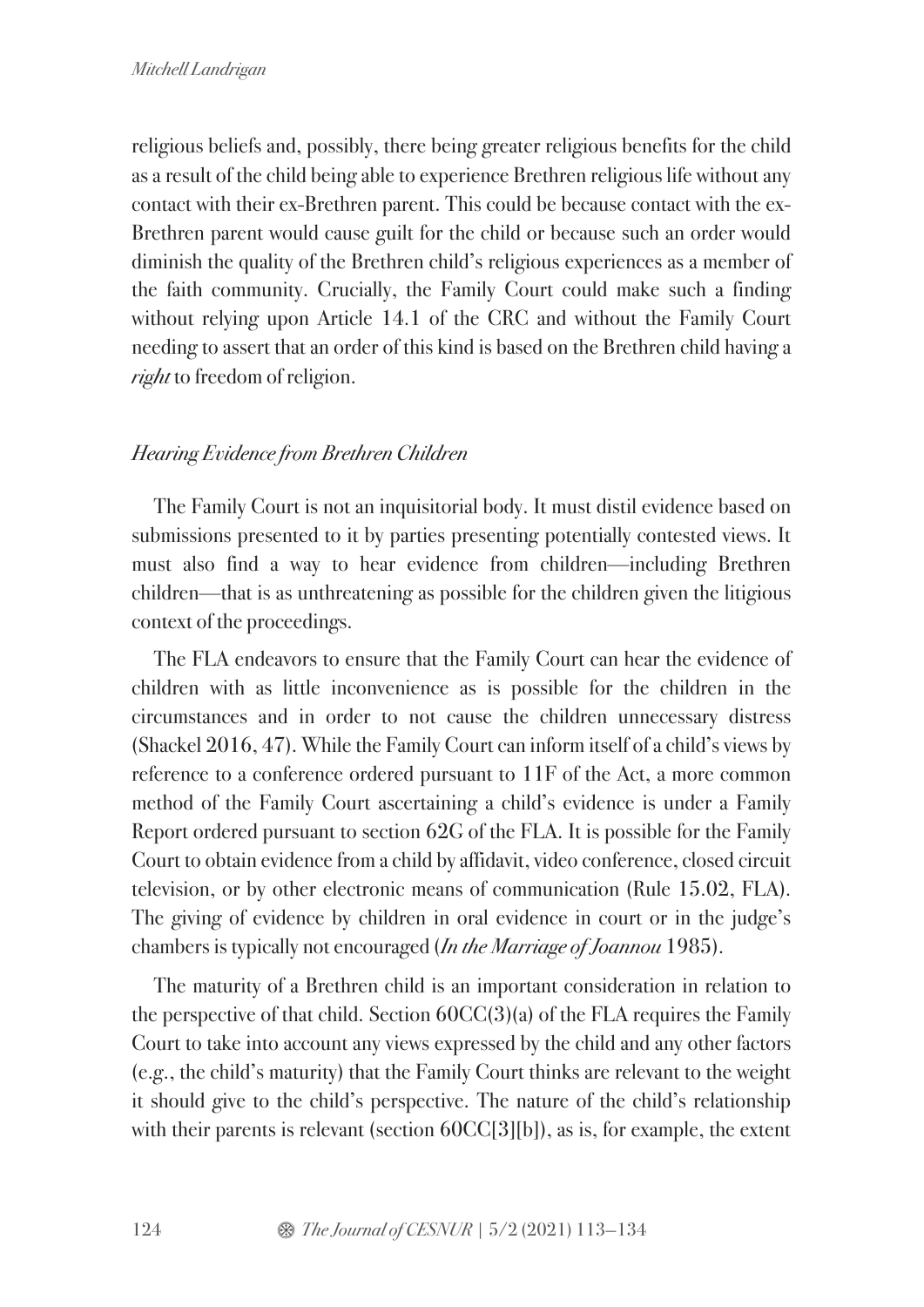religious beliefs and, possibly, there being greater religious benefits for the child as a result of the child being able to experience Brethren religious life without any contact with their ex-Brethren parent. This could be because contact with the ex-Brethren parent would cause guilt for the child or because such an order would diminish the quality of the Brethren child's religious experiences as a member of the faith community. Crucially, the Family Court could make such a finding without relying upon Article 14.1 of the CRC and without the Family Court needing to assert that an order of this kind is based on the Brethren child having a *right* to freedom of religion.

# *Hearing Evidence from Brethren Children*

The Family Court is not an inquisitorial body. It must distil evidence based on submissions presented to it by parties presenting potentially contested views. It must also find a way to hear evidence from children—including Brethren children—that is as unthreatening as possible for the children given the litigious context of the proceedings.

The FLA endeavors to ensure that the Family Court can hear the evidence of children with as little inconvenience as is possible for the children in the circumstances and in order to not cause the children unnecessary distress (Shackel 2016, 47). While the Family Court can inform itself of a child's views by reference to a conference ordered pursuant to 11F of the Act, a more common method of the Family Court ascertaining a child's evidence is under a Family Report ordered pursuant to section 62G of the FLA. It is possible for the Family Court to obtain evidence from a child by affidavit, video conference, closed circuit television, or by other electronic means of communication (Rule 15.02, FLA). The giving of evidence by children in oral evidence in court or in the judge's chambers is typically not encouraged (*In the Marriage of Joannou* 1985).

The maturity of a Brethren child is an important consideration in relation to the perspective of that child. Section  $60CC(3)(a)$  of the FLA requires the Family Court to take into account any views expressed by the child and any other factors (e.g., the child's maturity) that the Family Court thinks are relevant to the weight it should give to the child's perspective. The nature of the child's relationship with their parents is relevant (section 60CC[3][b]), as is, for example, the extent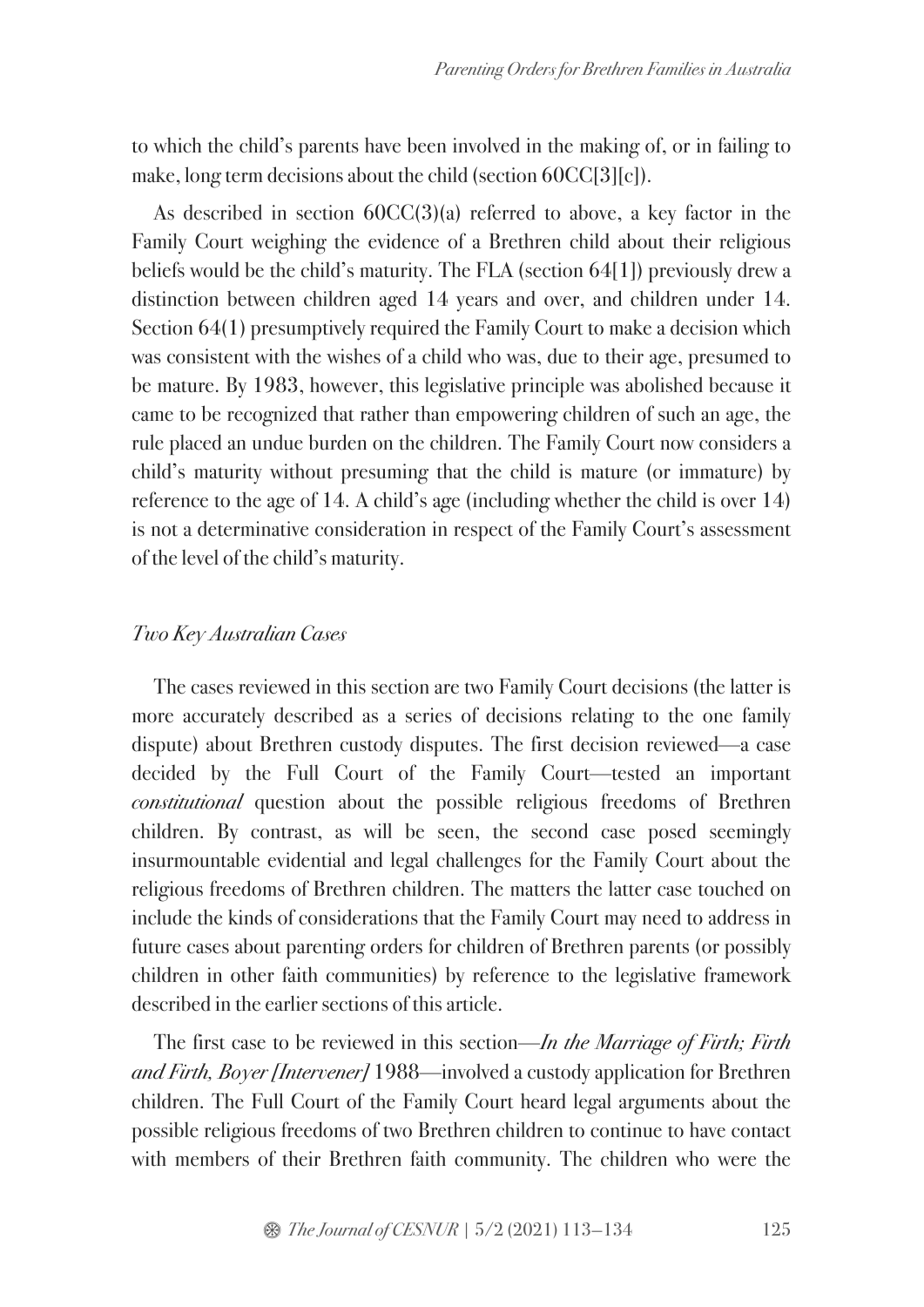to which the child's parents have been involved in the making of, or in failing to make, long term decisions about the child (section 60CC[3][c]).

As described in section 60CC(3)(a) referred to above, a key factor in the Family Court weighing the evidence of a Brethren child about their religious beliefs would be the child's maturity. The FLA (section 64[1]) previously drew a distinction between children aged 14 years and over, and children under 14. Section 64(1) presumptively required the Family Court to make a decision which was consistent with the wishes of a child who was, due to their age, presumed to be mature. By 1983, however, this legislative principle was abolished because it came to be recognized that rather than empowering children of such an age, the rule placed an undue burden on the children. The Family Court now considers a child's maturity without presuming that the child is mature (or immature) by reference to the age of 14. A child's age (including whether the child is over 14) is not a determinative consideration in respect of the Family Court's assessment of the level of the child's maturity.

### *Two Key Australian Cases*

The cases reviewed in this section are two Family Court decisions (the latter is more accurately described as a series of decisions relating to the one family dispute) about Brethren custody disputes. The first decision reviewed—a case decided by the Full Court of the Family Court—tested an important *constitutional* question about the possible religious freedoms of Brethren children. By contrast, as will be seen, the second case posed seemingly insurmountable evidential and legal challenges for the Family Court about the religious freedoms of Brethren children. The matters the latter case touched on include the kinds of considerations that the Family Court may need to address in future cases about parenting orders for children of Brethren parents (or possibly children in other faith communities) by reference to the legislative framework described in the earlier sections of this article.

The first case to be reviewed in this section—*In the Marriage of Firth; Firth and Firth, Boyer [Intervener]* 1988—involved a custody application for Brethren children. The Full Court of the Family Court heard legal arguments about the possible religious freedoms of two Brethren children to continue to have contact with members of their Brethren faith community. The children who were the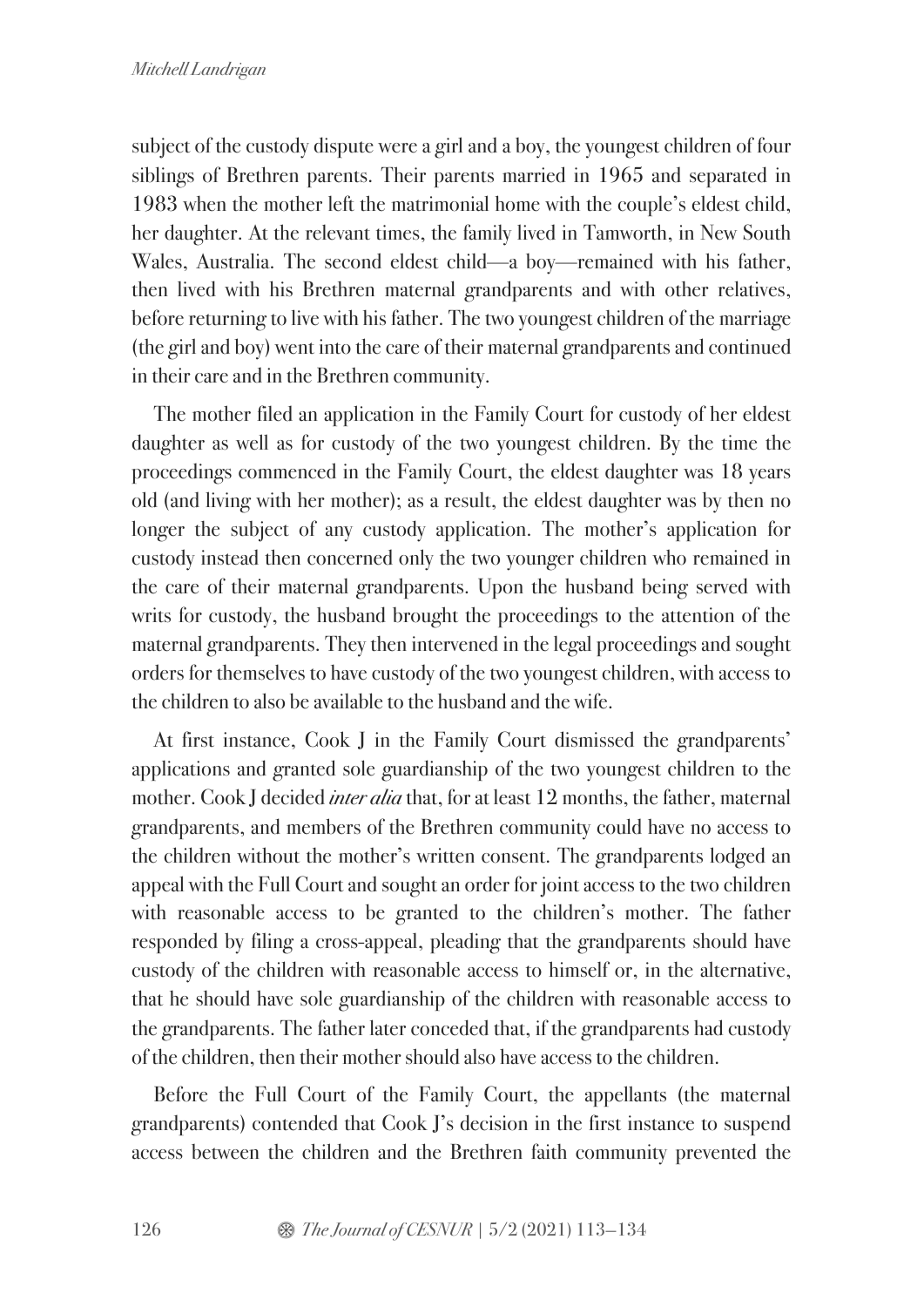subject of the custody dispute were a girl and a boy, the youngest children of four siblings of Brethren parents. Their parents married in 1965 and separated in 1983 when the mother left the matrimonial home with the couple's eldest child, her daughter. At the relevant times, the family lived in Tamworth, in New South Wales, Australia. The second eldest child—a boy—remained with his father, then lived with his Brethren maternal grandparents and with other relatives, before returning to live with his father. The two youngest children of the marriage (the girl and boy) went into the care of their maternal grandparents and continued in their care and in the Brethren community.

The mother filed an application in the Family Court for custody of her eldest daughter as well as for custody of the two youngest children. By the time the proceedings commenced in the Family Court, the eldest daughter was 18 years old (and living with her mother); as a result, the eldest daughter was by then no longer the subject of any custody application. The mother's application for custody instead then concerned only the two younger children who remained in the care of their maternal grandparents. Upon the husband being served with writs for custody, the husband brought the proceedings to the attention of the maternal grandparents. They then intervened in the legal proceedings and sought orders for themselves to have custody of the two youngest children, with access to the children to also be available to the husband and the wife.

At first instance, Cook J in the Family Court dismissed the grandparents' applications and granted sole guardianship of the two youngest children to the mother. Cook J decided *inter alia* that, for at least 12 months, the father, maternal grandparents, and members of the Brethren community could have no access to the children without the mother's written consent. The grandparents lodged an appeal with the Full Court and sought an order for joint access to the two children with reasonable access to be granted to the children's mother. The father responded by filing a cross-appeal, pleading that the grandparents should have custody of the children with reasonable access to himself or, in the alternative, that he should have sole guardianship of the children with reasonable access to the grandparents. The father later conceded that, if the grandparents had custody of the children, then their mother should also have access to the children.

Before the Full Court of the Family Court, the appellants (the maternal grandparents) contended that Cook J's decision in the first instance to suspend access between the children and the Brethren faith community prevented the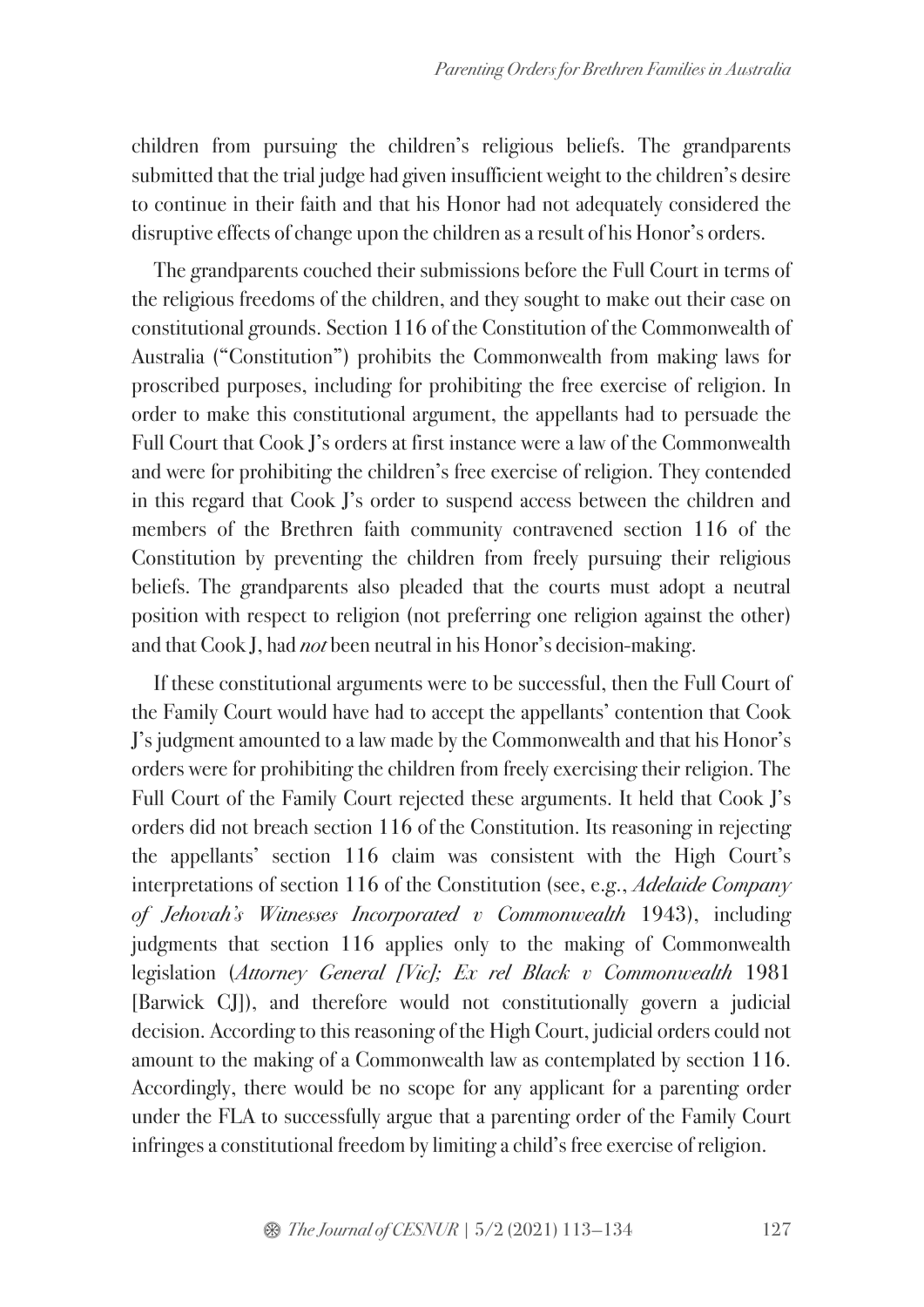children from pursuing the children's religious beliefs. The grandparents submitted that the trial judge had given insufficient weight to the children's desire to continue in their faith and that his Honor had not adequately considered the disruptive effects of change upon the children as a result of his Honor's orders.

The grandparents couched their submissions before the Full Court in terms of the religious freedoms of the children, and they sought to make out their case on constitutional grounds. Section 116 of the Constitution of the Commonwealth of Australia ("Constitution") prohibits the Commonwealth from making laws for proscribed purposes, including for prohibiting the free exercise of religion. In order to make this constitutional argument, the appellants had to persuade the Full Court that Cook J's orders at first instance were a law of the Commonwealth and were for prohibiting the children's free exercise of religion. They contended in this regard that Cook J's order to suspend access between the children and members of the Brethren faith community contravened section 116 of the Constitution by preventing the children from freely pursuing their religious beliefs. The grandparents also pleaded that the courts must adopt a neutral position with respect to religion (not preferring one religion against the other) and that Cook J, had *not* been neutral in his Honor's decision-making.

If these constitutional arguments were to be successful, then the Full Court of the Family Court would have had to accept the appellants' contention that Cook J's judgment amounted to a law made by the Commonwealth and that his Honor's orders were for prohibiting the children from freely exercising their religion. The Full Court of the Family Court rejected these arguments. It held that Cook J's orders did not breach section 116 of the Constitution. Its reasoning in rejecting the appellants' section 116 claim was consistent with the High Court's interpretations of section 116 of the Constitution (see, e.g., *Adelaide Company of Jehovah's Witnesses Incorporated v Commonwealth* 1943), including judgments that section 116 applies only to the making of Commonwealth legislation (*Attorney General [Vic]; Ex rel Black v Commonwealth* 1981 [Barwick CJ]), and therefore would not constitutionally govern a judicial decision. According to this reasoning of the High Court, judicial orders could not amount to the making of a Commonwealth law as contemplated by section 116. Accordingly, there would be no scope for any applicant for a parenting order under the FLA to successfully argue that a parenting order of the Family Court infringes a constitutional freedom by limiting a child's free exercise of religion.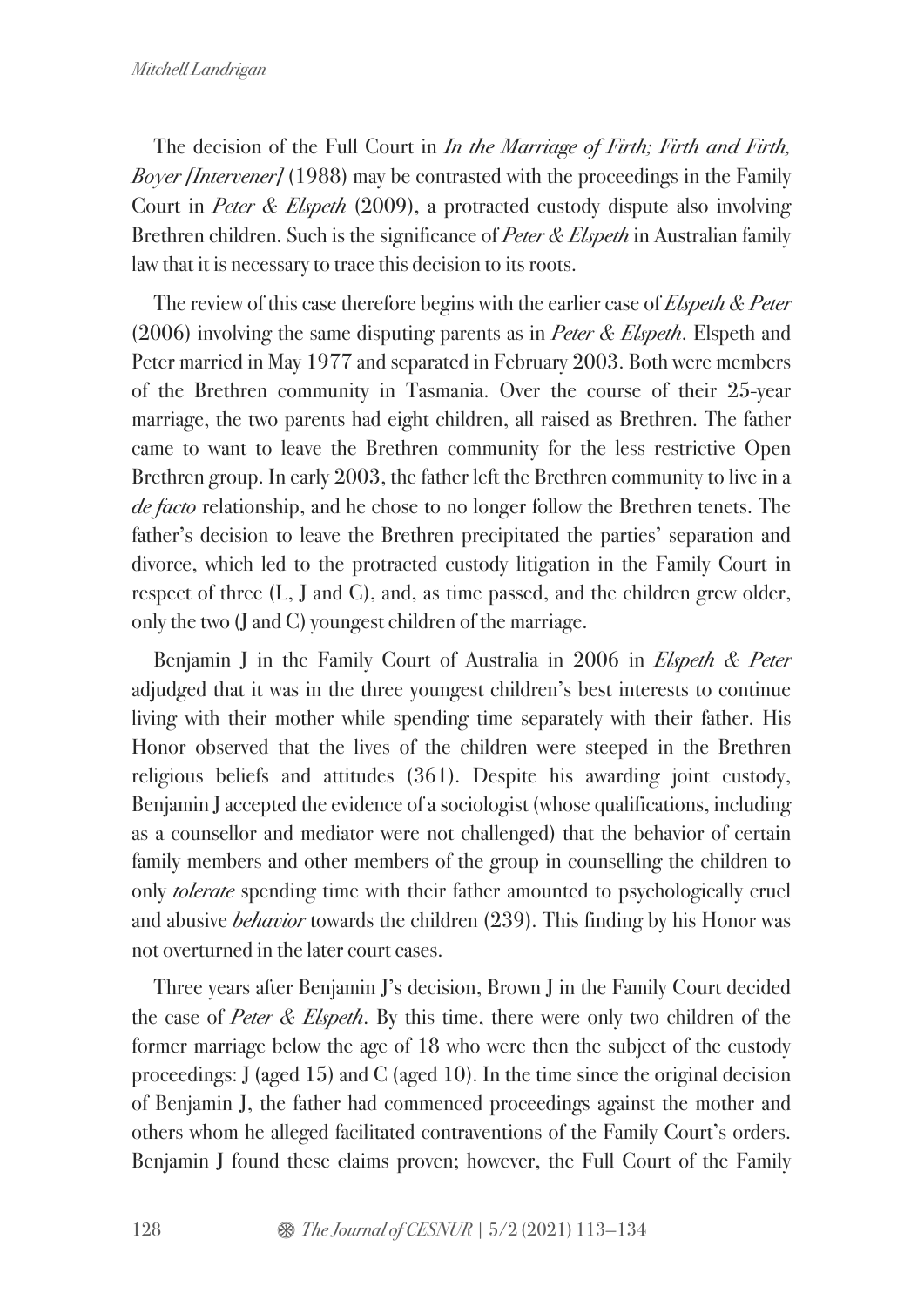The decision of the Full Court in *In the Marriage of Firth; Firth and Firth, Boyer [Intervener]* (1988) may be contrasted with the proceedings in the Family Court in *Peter & Elspeth* (2009), a protracted custody dispute also involving Brethren children. Such is the significance of *Peter & Elspeth* in Australian family law that it is necessary to trace this decision to its roots.

The review of this case therefore begins with the earlier case of *Elspeth & Peter* (2006) involving the same disputing parents as in *Peter & Elspeth*. Elspeth and Peter married in May 1977 and separated in February 2003. Both were members of the Brethren community in Tasmania. Over the course of their 25-year marriage, the two parents had eight children, all raised as Brethren. The father came to want to leave the Brethren community for the less restrictive Open Brethren group. In early 2003, the father left the Brethren community to live in a *de facto* relationship, and he chose to no longer follow the Brethren tenets. The father's decision to leave the Brethren precipitated the parties' separation and divorce, which led to the protracted custody litigation in the Family Court in respect of three (L, J and C), and, as time passed, and the children grew older, only the two (J and C) youngest children of the marriage.

Benjamin J in the Family Court of Australia in 2006 in *Elspeth & Peter* adjudged that it was in the three youngest children's best interests to continue living with their mother while spending time separately with their father. His Honor observed that the lives of the children were steeped in the Brethren religious beliefs and attitudes (361). Despite his awarding joint custody, Benjamin J accepted the evidence of a sociologist (whose qualifications, including as a counsellor and mediator were not challenged) that the behavior of certain family members and other members of the group in counselling the children to only *tolerate* spending time with their father amounted to psychologically cruel and abusive *behavior* towards the children (239). This finding by his Honor was not overturned in the later court cases.

Three years after Benjamin J's decision, Brown J in the Family Court decided the case of *Peter & Elspeth*. By this time, there were only two children of the former marriage below the age of 18 who were then the subject of the custody proceedings: J (aged 15) and C (aged 10). In the time since the original decision of Benjamin J, the father had commenced proceedings against the mother and others whom he alleged facilitated contraventions of the Family Court's orders. Benjamin J found these claims proven; however, the Full Court of the Family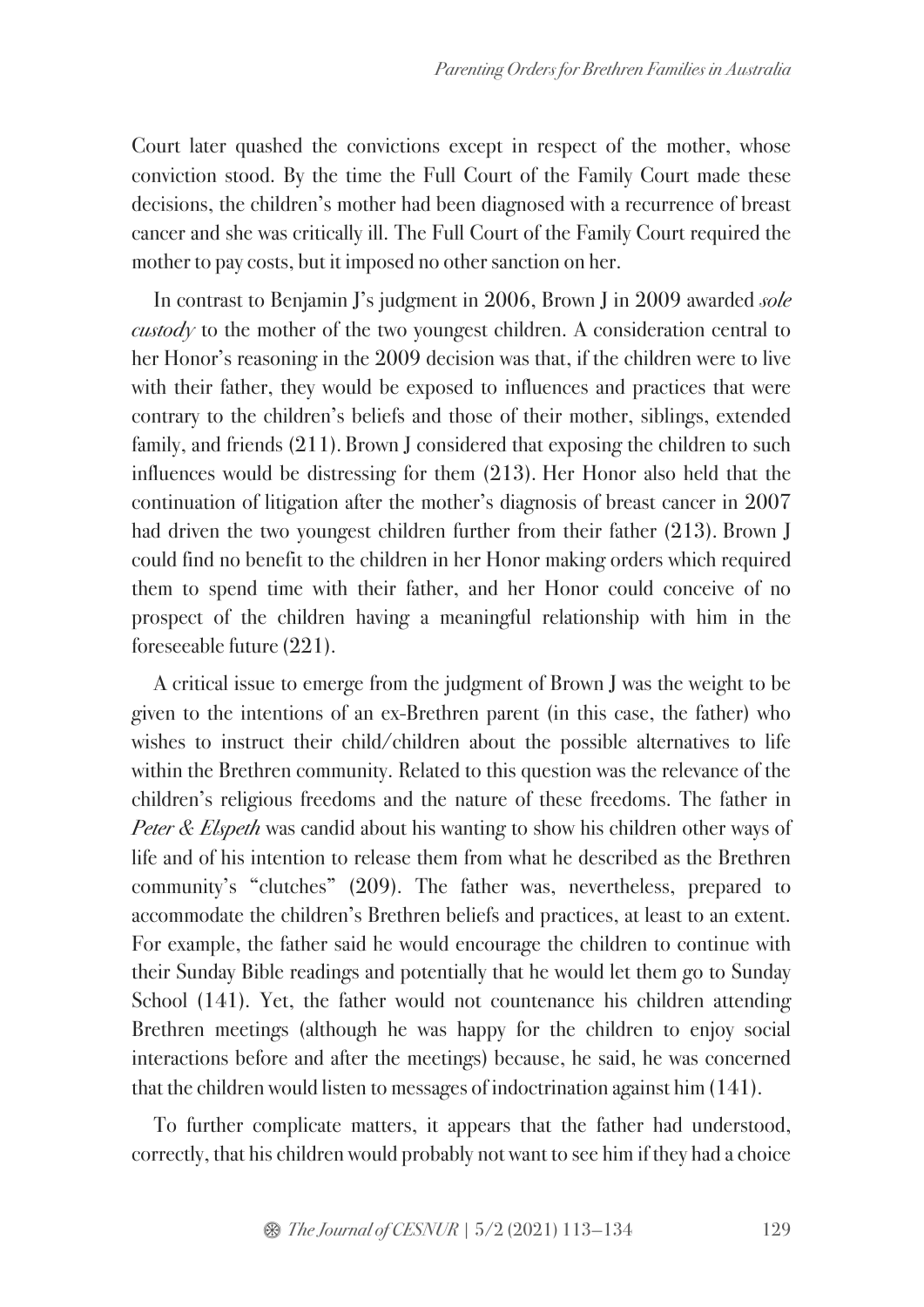Court later quashed the convictions except in respect of the mother, whose conviction stood. By the time the Full Court of the Family Court made these decisions, the children's mother had been diagnosed with a recurrence of breast cancer and she was critically ill. The Full Court of the Family Court required the mother to pay costs, but it imposed no other sanction on her.

In contrast to Benjamin J's judgment in 2006, Brown J in 2009 awarded *sole custody* to the mother of the two youngest children. A consideration central to her Honor's reasoning in the 2009 decision was that, if the children were to live with their father, they would be exposed to influences and practices that were contrary to the children's beliefs and those of their mother, siblings, extended family, and friends (211). Brown J considered that exposing the children to such influences would be distressing for them (213). Her Honor also held that the continuation of litigation after the mother's diagnosis of breast cancer in 2007 had driven the two youngest children further from their father (213). Brown J could find no benefit to the children in her Honor making orders which required them to spend time with their father, and her Honor could conceive of no prospect of the children having a meaningful relationship with him in the foreseeable future (221).

A critical issue to emerge from the judgment of Brown J was the weight to be given to the intentions of an ex-Brethren parent (in this case, the father) who wishes to instruct their child/children about the possible alternatives to life within the Brethren community. Related to this question was the relevance of the children's religious freedoms and the nature of these freedoms. The father in *Peter & Elspeth* was candid about his wanting to show his children other ways of life and of his intention to release them from what he described as the Brethren community's "clutches" (209). The father was, nevertheless, prepared to accommodate the children's Brethren beliefs and practices, at least to an extent. For example, the father said he would encourage the children to continue with their Sunday Bible readings and potentially that he would let them go to Sunday School (141). Yet, the father would not countenance his children attending Brethren meetings (although he was happy for the children to enjoy social interactions before and after the meetings) because, he said, he was concerned that the children would listen to messages of indoctrination against him (141).

To further complicate matters, it appears that the father had understood, correctly, that his children would probably not want to see him if they had a choice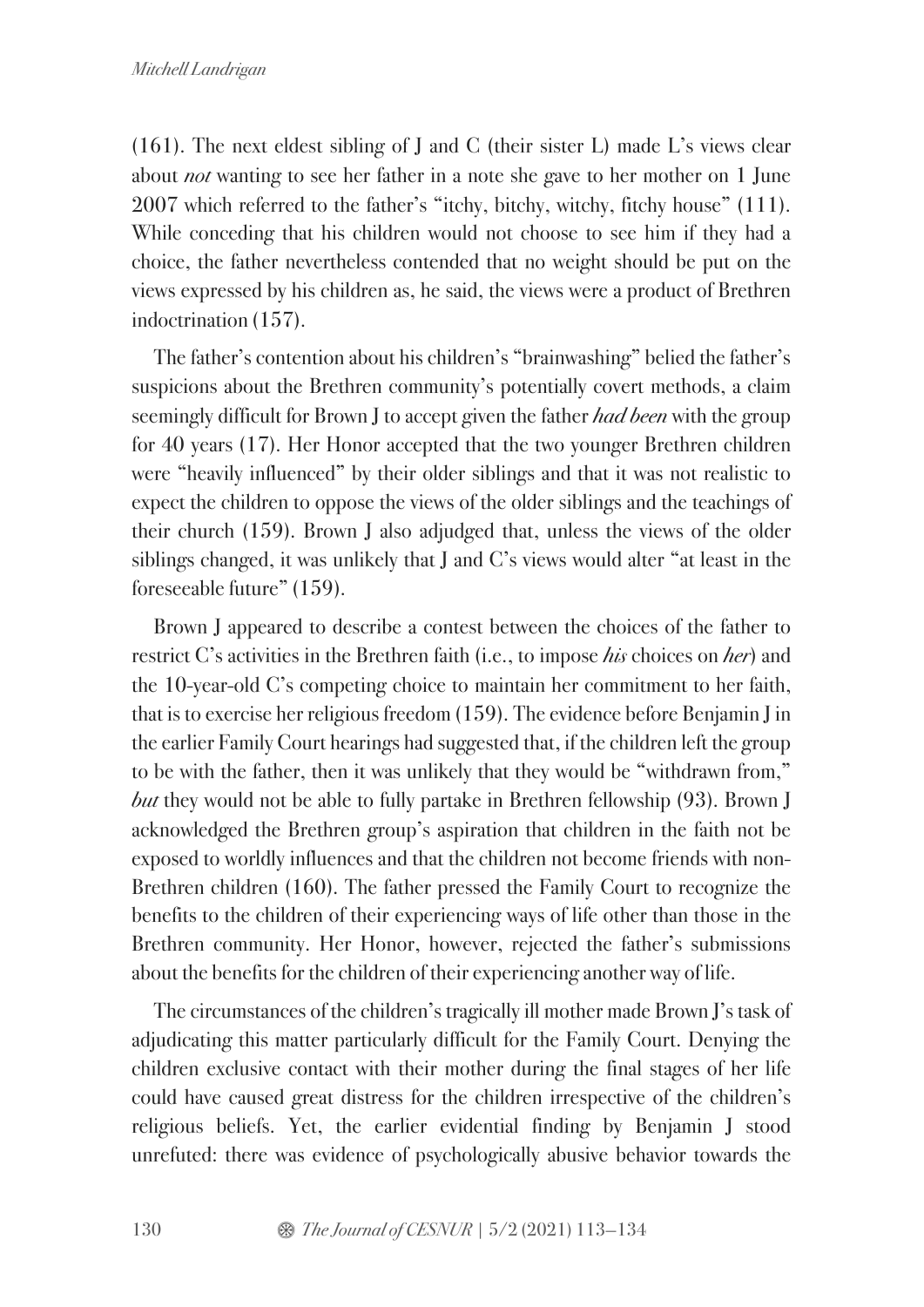(161). The next eldest sibling of J and C (their sister L) made L's views clear about *not* wanting to see her father in a note she gave to her mother on 1 June 2007 which referred to the father's "itchy, bitchy, witchy, fitchy house" (111). While conceding that his children would not choose to see him if they had a choice, the father nevertheless contended that no weight should be put on the views expressed by his children as, he said, the views were a product of Brethren indoctrination (157).

The father's contention about his children's "brainwashing" belied the father's suspicions about the Brethren community's potentially covert methods, a claim seemingly difficult for Brown J to accept given the father *had been* with the group for 40 years (17). Her Honor accepted that the two younger Brethren children were "heavily influenced" by their older siblings and that it was not realistic to expect the children to oppose the views of the older siblings and the teachings of their church (159). Brown J also adjudged that, unless the views of the older siblings changed, it was unlikely that J and C's views would alter "at least in the foreseeable future" (159).

Brown J appeared to describe a contest between the choices of the father to restrict C's activities in the Brethren faith (i.e., to impose *his* choices on *her*) and the 10-year-old C's competing choice to maintain her commitment to her faith, that is to exercise her religious freedom (159). The evidence before Benjamin J in the earlier Family Court hearings had suggested that, if the children left the group to be with the father, then it was unlikely that they would be "withdrawn from," *but* they would not be able to fully partake in Brethren fellowship (93). Brown J acknowledged the Brethren group's aspiration that children in the faith not be exposed to worldly influences and that the children not become friends with non-Brethren children (160). The father pressed the Family Court to recognize the benefits to the children of their experiencing ways of life other than those in the Brethren community. Her Honor, however, rejected the father's submissions about the benefits for the children of their experiencing another way of life.

The circumstances of the children's tragically ill mother made Brown J's task of adjudicating this matter particularly difficult for the Family Court. Denying the children exclusive contact with their mother during the final stages of her life could have caused great distress for the children irrespective of the children's religious beliefs. Yet, the earlier evidential finding by Benjamin J stood unrefuted: there was evidence of psychologically abusive behavior towards the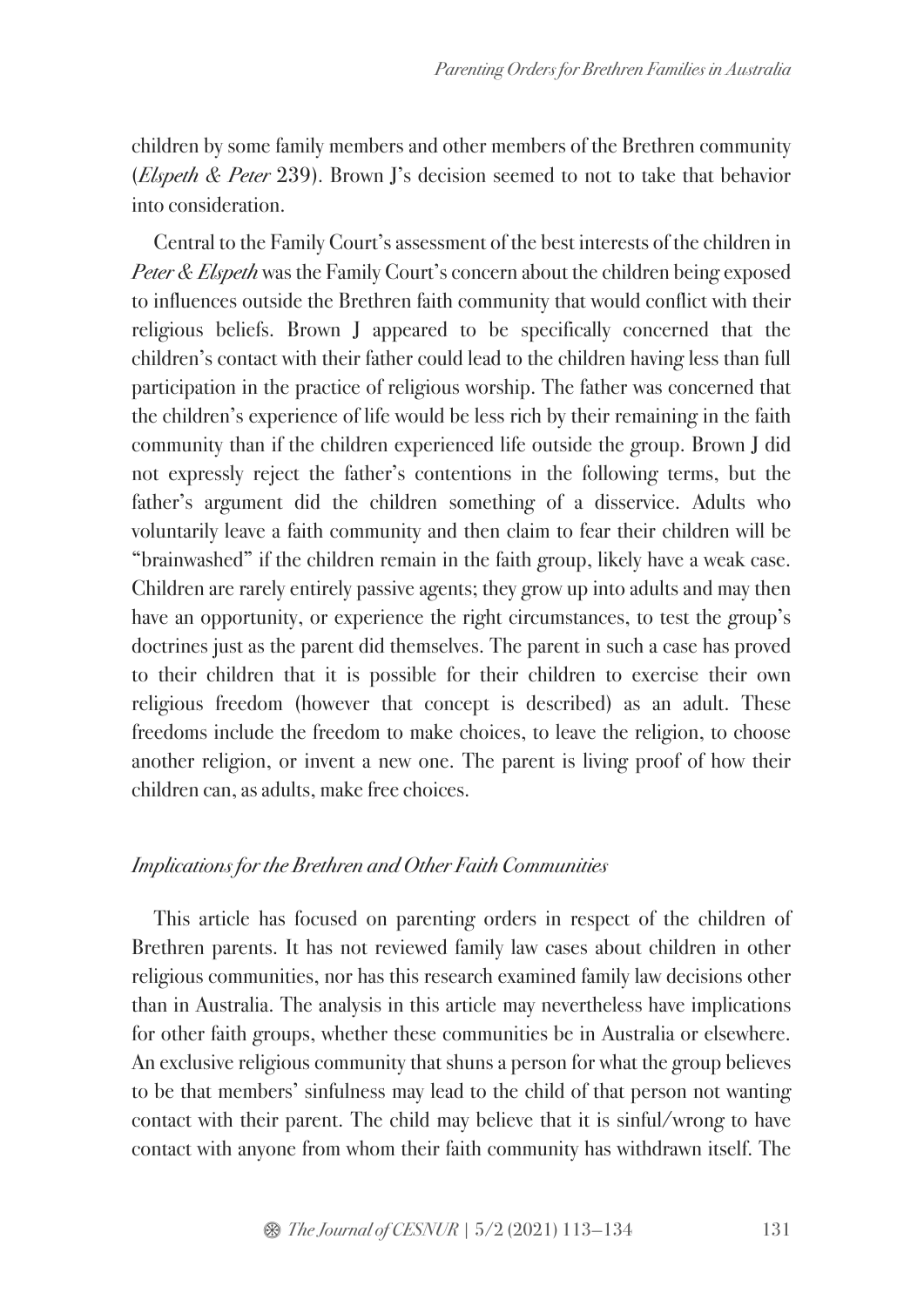children by some family members and other members of the Brethren community (*Elspeth & Peter* 239). Brown J's decision seemed to not to take that behavior into consideration.

Central to the Family Court's assessment of the best interests of the children in *Peter & Elspeth* was the Family Court's concern about the children being exposed to influences outside the Brethren faith community that would conflict with their religious beliefs. Brown J appeared to be specifically concerned that the children's contact with their father could lead to the children having less than full participation in the practice of religious worship. The father was concerned that the children's experience of life would be less rich by their remaining in the faith community than if the children experienced life outside the group. Brown J did not expressly reject the father's contentions in the following terms, but the father's argument did the children something of a disservice. Adults who voluntarily leave a faith community and then claim to fear their children will be "brainwashed" if the children remain in the faith group, likely have a weak case. Children are rarely entirely passive agents; they grow up into adults and may then have an opportunity, or experience the right circumstances, to test the group's doctrines just as the parent did themselves. The parent in such a case has proved to their children that it is possible for their children to exercise their own religious freedom (however that concept is described) as an adult. These freedoms include the freedom to make choices, to leave the religion, to choose another religion, or invent a new one. The parent is living proof of how their children can, as adults, make free choices.

### *Implications for the Brethren and Other Faith Communities*

This article has focused on parenting orders in respect of the children of Brethren parents. It has not reviewed family law cases about children in other religious communities, nor has this research examined family law decisions other than in Australia. The analysis in this article may nevertheless have implications for other faith groups, whether these communities be in Australia or elsewhere. An exclusive religious community that shuns a person for what the group believes to be that members' sinfulness may lead to the child of that person not wanting contact with their parent. The child may believe that it is sinful/wrong to have contact with anyone from whom their faith community has withdrawn itself. The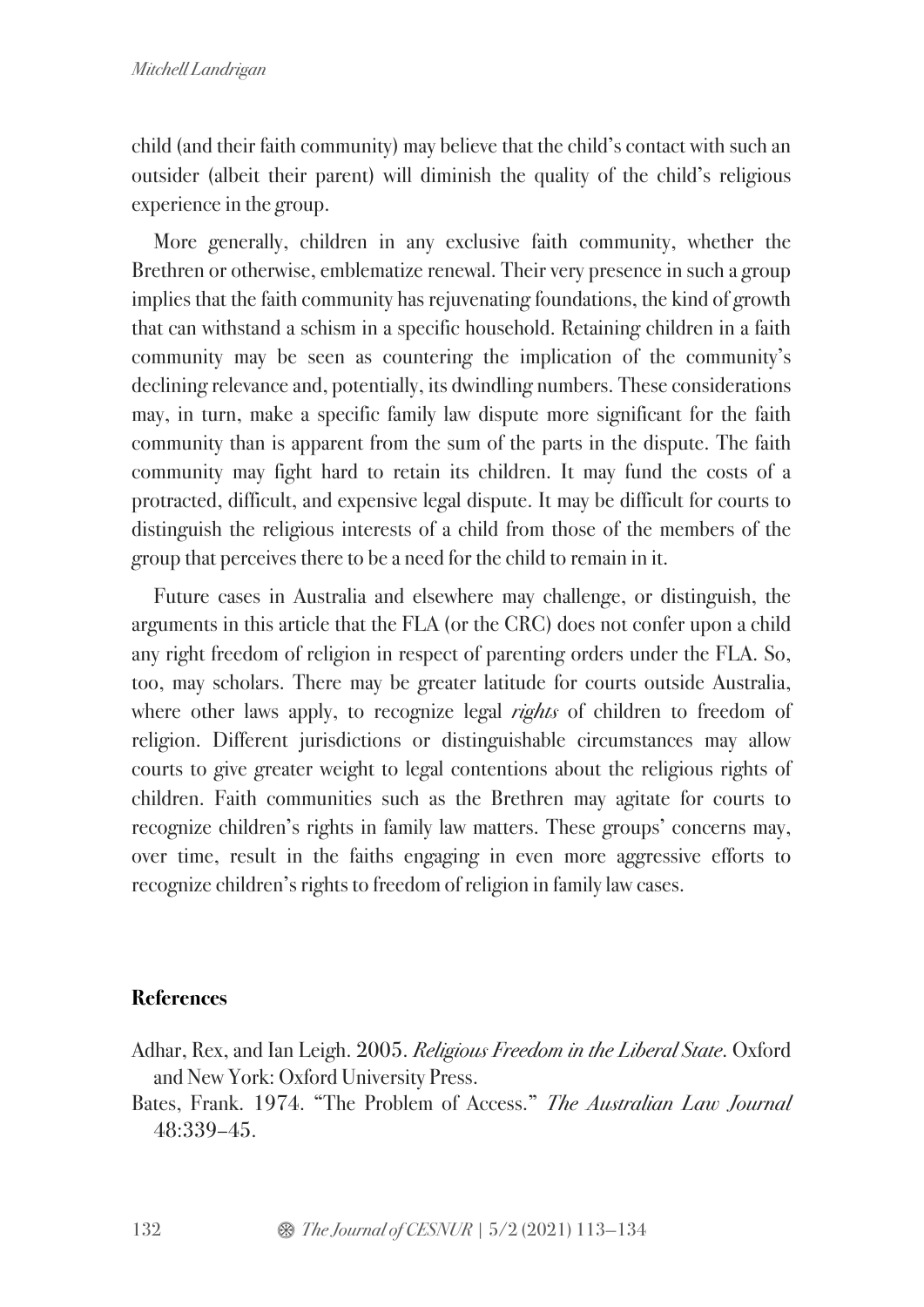child (and their faith community) may believe that the child's contact with such an outsider (albeit their parent) will diminish the quality of the child's religious experience in the group.

More generally, children in any exclusive faith community, whether the Brethren or otherwise, emblematize renewal. Their very presence in such a group implies that the faith community has rejuvenating foundations, the kind of growth that can withstand a schism in a specific household. Retaining children in a faith community may be seen as countering the implication of the community's declining relevance and, potentially, its dwindling numbers. These considerations may, in turn, make a specific family law dispute more significant for the faith community than is apparent from the sum of the parts in the dispute. The faith community may fight hard to retain its children. It may fund the costs of a protracted, difficult, and expensive legal dispute. It may be difficult for courts to distinguish the religious interests of a child from those of the members of the group that perceives there to be a need for the child to remain in it.

Future cases in Australia and elsewhere may challenge, or distinguish, the arguments in this article that the FLA (or the CRC) does not confer upon a child any right freedom of religion in respect of parenting orders under the FLA. So, too, may scholars. There may be greater latitude for courts outside Australia, where other laws apply, to recognize legal *rights* of children to freedom of religion. Different jurisdictions or distinguishable circumstances may allow courts to give greater weight to legal contentions about the religious rights of children. Faith communities such as the Brethren may agitate for courts to recognize children's rights in family law matters. These groups' concerns may, over time, result in the faiths engaging in even more aggressive efforts to recognize children's rights to freedom of religion in family law cases.

## **References**

- Adhar, Rex, and Ian Leigh. 2005. *Religious Freedom in the Liberal State*. Oxford and New York: Oxford University Press.
- Bates, Frank. 1974. "The Problem of Access." *The Australian Law Journal* 48:339–45.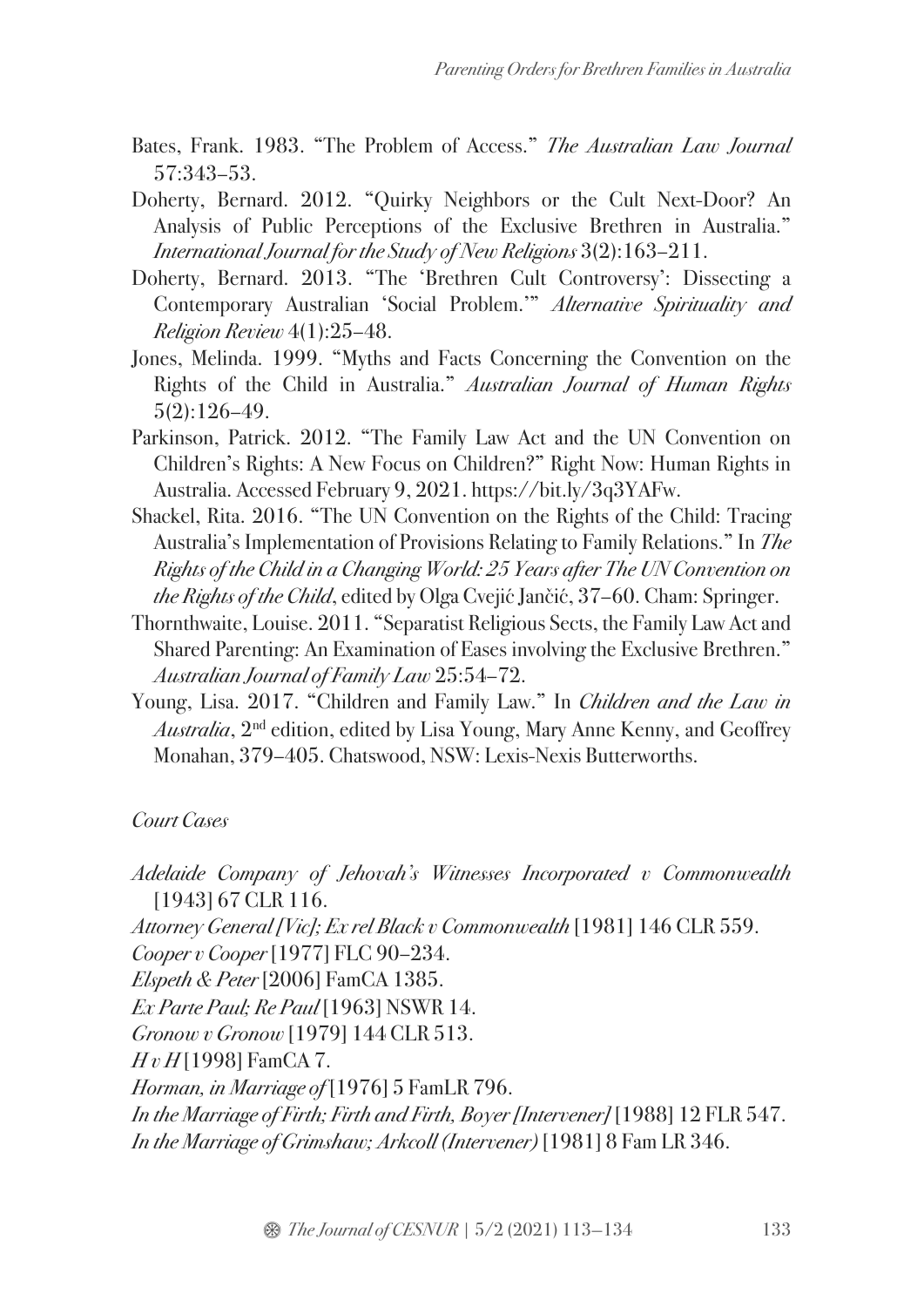- Bates, Frank. 1983. "The Problem of Access." *The Australian Law Journal* 57:343–53.
- Doherty, Bernard. 2012. "Quirky Neighbors or the Cult Next-Door? An Analysis of Public Perceptions of the Exclusive Brethren in Australia." *International Journal for the Study of New Religions* 3(2):163–211.
- Doherty, Bernard. 2013. "The 'Brethren Cult Controversy': Dissecting a Contemporary Australian 'Social Problem.'" *Alternative Spirituality and Religion Review* 4(1):25–48.
- Jones, Melinda. 1999. "Myths and Facts Concerning the Convention on the Rights of the Child in Australia." *Australian Journal of Human Rights* 5(2):126–49.
- Parkinson, Patrick. 2012. "The Family Law Act and the UN Convention on Children's Rights: A New Focus on Children?" Right Now: Human Rights in Australia. Accessed February 9, 2021. https://bit.ly/3q3YAFw.
- Shackel, Rita. 2016. "The UN Convention on the Rights of the Child: Tracing Australia's Implementation of Provisions Relating to Family Relations." In *The Rights of the Child in a Changing World: 25 Years after The UN Convention on the Rights of the Child*, edited by Olga Cvejić Jančić, 37–60. Cham: Springer.
- Thornthwaite, Louise. 2011. "Separatist Religious Sects, the Family Law Act and Shared Parenting: An Examination of Eases involving the Exclusive Brethren." *Australian Journal of Family Law* 25:54–72.
- Young, Lisa. 2017. "Children and Family Law." In *Children and the Law in Australia*, 2nd edition, edited by Lisa Young, Mary Anne Kenny, and Geoffrey Monahan, 379–405. Chatswood, NSW: Lexis-Nexis Butterworths.

## *Court Cases*

- *Adelaide Company of Jehovah's Witnesses Incorporated v Commonwealth* [1943] 67 CLR 116.
- *Attorney General [Vic]; Ex rel Black v Commonwealth* [1981] 146 CLR 559.
- *Cooper v Cooper* [1977] FLC 90–234.
- *Elspeth & Peter* [2006] FamCA 1385.
- *Ex Parte Paul; Re Paul* [1963] NSWR 14.
- *Gronow v Gronow* [1979] 144 CLR 513.
- *H v H* [1998] FamCA 7.
- *Horman, in Marriage of* [1976] 5 FamLR 796.
- *In the Marriage of Firth; Firth and Firth, Boyer [Intervener]* [1988] 12 FLR 547. *In the Marriage of Grimshaw; Arkcoll (Intervener)* [1981] 8 Fam LR 346.